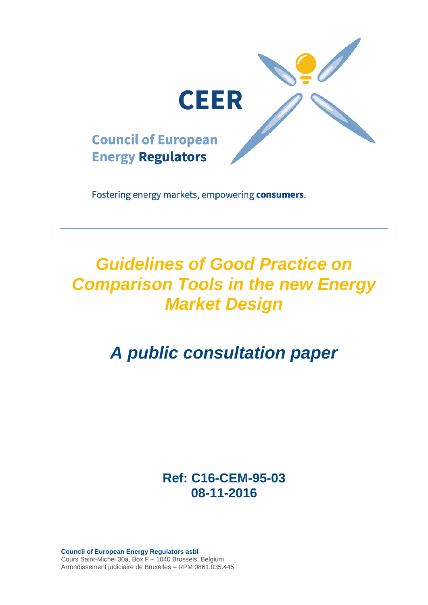

Fostering energy markets, empowering consumers.

## *Guidelines of Good Practice on Comparison Tools in the new Energy Market Design*

# *A public consultation paper*

**Ref: C16-CEM-95-03 08-11-2016**

**Council of European Energy Regulators asbl** Cours Saint-Michel 30a, Box F – 1040 Brussels, Belgium Arrondissement judiciaire de Bruxelles – RPM 0861.035.445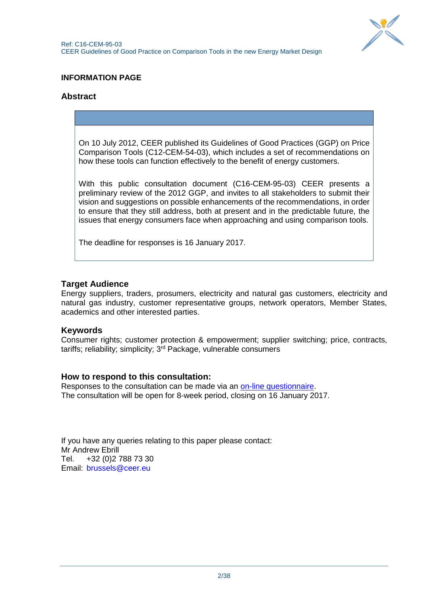

## **INFORMATION PAGE**

## **Abstract**

On 10 July 2012, CEER published its Guidelines of Good Practices (GGP) on Price Comparison Tools (C12-CEM-54-03), which includes a set of recommendations on how these tools can function effectively to the benefit of energy customers.

With this public consultation document (C16-CEM-95-03) CEER presents a preliminary review of the 2012 GGP, and invites to all stakeholders to submit their vision and suggestions on possible enhancements of the recommendations, in order to ensure that they still address, both at present and in the predictable future, the issues that energy consumers face when approaching and using comparison tools.

The deadline for responses is 16 January 2017.

## **Target Audience**

Energy suppliers, traders, prosumers, electricity and natural gas customers, electricity and natural gas industry, customer representative groups, network operators, Member States, academics and other interested parties.

### **Keywords**

Consumer rights; customer protection & empowerment; supplier switching; price, contracts, tariffs; reliability; simplicity; 3rd Package, vulnerable consumers

### **How to respond to this consultation:**

Responses to the consultation can be made via an [on-line questionnaire.](http://www.ceer.eu/portal/page/portal/EER_HOME/EER_CONSULT/OPEN_PUBLIC_CONSULTATIONS/PC_on_CTs) The consultation will be open for 8-week period, closing on 16 January 2017.

If you have any queries relating to this paper please contact: Mr Andrew Ebrill Tel. +32 (0)2 788 73 30 Email: [brussels@ceer.eu](mailto:brussels@ceer.eu)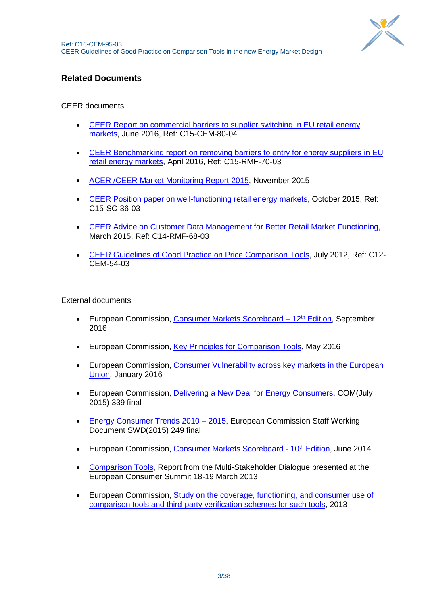

## **Related Documents**

## CEER documents

- [CEER Report on commercial barriers to supplier switching in EU retail energy](http://www.ceer.eu/portal/page/portal/EER_HOME/EER_PUBLICATIONS/CEER_PAPERS/Customers/tab6/C15-CEM-80-04_Commercial-barriers-switching_07July2016.pdf)  [markets,](http://www.ceer.eu/portal/page/portal/EER_HOME/EER_PUBLICATIONS/CEER_PAPERS/Customers/tab6/C15-CEM-80-04_Commercial-barriers-switching_07July2016.pdf) June 2016, Ref: C15-CEM-80-04
- [CEER Benchmarking report on removing barriers to entry for energy suppliers in EU](http://www.ceer.eu/portal/page/portal/EER_HOME/EER_PUBLICATIONS/CEER_PAPERS/Customers/tab6/C15-RMF-70-03_BR_barriers_to_entry_for_suppliers_1-Apr-2016.pdf)  [retail energy markets,](http://www.ceer.eu/portal/page/portal/EER_HOME/EER_PUBLICATIONS/CEER_PAPERS/Customers/tab6/C15-RMF-70-03_BR_barriers_to_entry_for_suppliers_1-Apr-2016.pdf) April 2016, Ref: C15-RMF-70-03
- [ACER /CEER Market Monitoring Report](http://www.acer.europa.eu/official_documents/acts_of_the_agency/publication/acer_market_monitoring_report_2015.pdf) 2015, November 2015
- [CEER Position paper on well-functioning retail energy markets,](http://www.ceer.eu/portal/page/portal/EER_HOME/EER_PUBLICATIONS/CEER_PAPERS/Customers/2015/C15-SC-36-03_V19_Well-functioning_retail_markets.pdf) October 2015, Ref: C15-SC-36-03
- [CEER Advice on Customer Data Management for Better Retail Market Functioning,](http://www.ceer.eu/portal/page/portal/EER_HOME/EER_PUBLICATIONS/CEER_PAPERS/Customers/2015/C14-RMF-68-03_Advice%20on%20Customer%20Data%20Management_19032015.pdf) March 2015, Ref: C14-RMF-68-03
- [CEER Guidelines of Good Practice on Price Comparison Tools,](http://www.energy-regulators.eu/portal/page/portal/EER_HOME/EER_PUBLICATIONS/CEER_PAPERS/Customers/Tab3/C12-CEM-54-03_GGP-PCT_09Jul2012.pdf) July 2012, Ref: C12- CEM-54-03

External documents

- European Commission, [Consumer Markets Scoreboard –](http://ec.europa.eu/consumers/consumer_evidence/consumer_scoreboards/12_edition/index_en.htm) 12<sup>th</sup> Edition, September 2016
- European Commission, [Key Principles for Comparison Tools,](http://ec.europa.eu/consumers/consumer_rights/unfair-trade/docs/key_principles_for_comparison_tools_en.pdf) May 2016
- European Commission, [Consumer Vulnerability across key markets in the European](http://ec.europa.eu/consumers/consumer_evidence/market_studies/docs/vulnerable_consumers_approved_27_01_2016_en.pdf)  [Union,](http://ec.europa.eu/consumers/consumer_evidence/market_studies/docs/vulnerable_consumers_approved_27_01_2016_en.pdf) January 2016
- European Commission, [Delivering a New Deal for Energy Consumers,](https://ec.europa.eu/energy/sites/ener/files/documents/1_EN_ACT_part1_v8.pdf) COM(July 2015) 339 final
- [Energy Consumer Trends](http://ec.europa.eu/consumers/eu_consumer_policy/consumer_issues_in_other_policies/files/swd-energy-consumer-trends_en.pdf) 2010 2015, European Commission Staff Working Document SWD(2015) 249 final
- European Commission, [Consumer Markets Scoreboard -](http://ec.europa.eu/consumers/consumer_evidence/consumer_scoreboards/10_edition/index_en.htm) 10<sup>th</sup> Edition, June 2014
- [Comparison Tools,](http://ec.europa.eu/consumers/documents/consumer-summit-2013-msdct-report_en.pdf) Report from the Multi-Stakeholder Dialogue presented at the European Consumer Summit 18-19 March 2013
- European Commission, [Study on the coverage, functioning, and consumer use of](http://ec.europa.eu/consumers/consumer_evidence/market_studies/docs/final_report_study_on_comparison_tools.pdf)  [comparison tools and third-party verification schemes for such tools,](http://ec.europa.eu/consumers/consumer_evidence/market_studies/docs/final_report_study_on_comparison_tools.pdf) 2013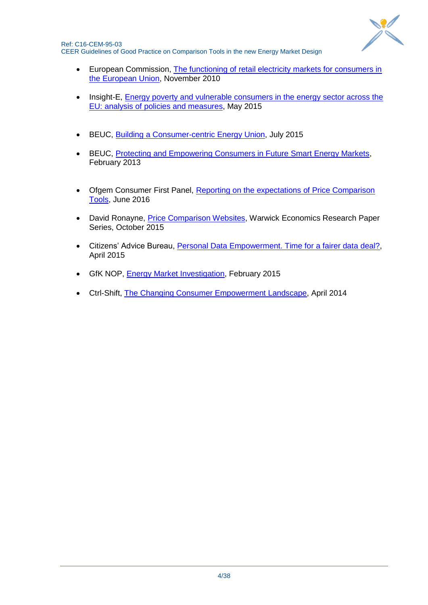

Ref: C16-CEM-95-03 CEER Guidelines of Good Practice on Comparison Tools in the new Energy Market Design

- **European Commission, The functioning of retail electricity markets for consumers in** [the European Union,](http://ec.europa.eu/consumers/archive/consumer_research/market_studies/docs/retail_electricity_full_study_en.pdf) November 2010
- Insight-E, **Energy poverty and vulnerable consumers in the energy sector across the** [EU: analysis of policies and measures,](https://ec.europa.eu/energy/sites/ener/files/documents/INSIGHT_E_Energy%20Poverty%20-%20Main%20Report_FINAL.pdf) May 2015
- BEUC, [Building a Consumer-centric Energy Union,](http://www.beuc.eu/publications/beuc-x-2015-068_mst_building_a_consumer-centric_energy_union.pdf) July 2015
- BEUC, [Protecting and Empowering Consumers in Future Smart Energy Markets,](http://www.beuc.eu/publications/2013-00083-01-e.pdf) February 2013
- Ofgem Consumer First Panel, [Reporting on the expectations of Price Comparison](https://www.ofgem.gov.uk/system/files/docs/2016/06/ofgem_consumer_panel_wave_3_pct_090616_final.pdf)  [Tools,](https://www.ofgem.gov.uk/system/files/docs/2016/06/ofgem_consumer_panel_wave_3_pct_090616_final.pdf) June 2016
- David Ronayne, [Price Comparison Websites,](http://www2.warwick.ac.uk/fac/soc/economics/research/workingpapers/2015/twerp_1056b_ronayne.pdf) Warwick Economics Research Paper Series, October 2015
- Citizens' Advice Bureau, [Personal Data Empowerment. Time for a fairer data deal?,](https://www.citizensadvice.org.uk/about-us/policy/policy-research-topics/consumer-policy-research/consumer-policy-research/personal-data-empowerment-time-for-a-fairer-deal/) April 2015
- GfK NOP, [Energy Market Investigation,](https://assets.digital.cabinet-office.gov.uk/media/54e75c53ed915d0cf700000d/CMA_customer_survey_-_energy_investigation_-_GfK_Report.pdf) February 2015
- Ctrl-Shift, [The Changing Consumer Empowerment Landscape,](https://www.ofgem.gov.uk/ofgem-publications/89234/ctrl-shift-thechangingconsumerempowermentlandscape.pdf) April 2014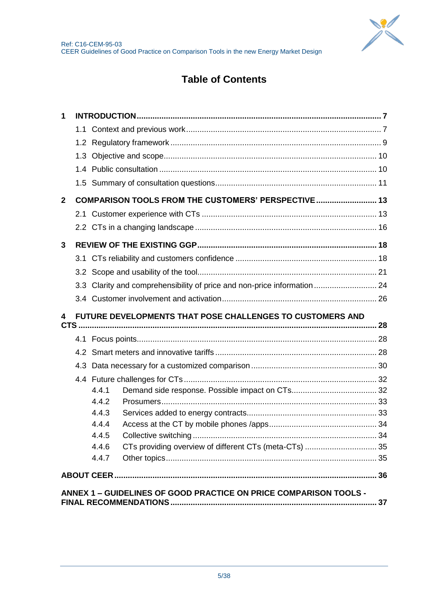

## **Table of Contents**

| 1            |                                                                          |  |
|--------------|--------------------------------------------------------------------------|--|
|              |                                                                          |  |
|              |                                                                          |  |
|              |                                                                          |  |
|              |                                                                          |  |
|              |                                                                          |  |
| $\mathbf{2}$ | COMPARISON TOOLS FROM THE CUSTOMERS' PERSPECTIVE 13                      |  |
|              |                                                                          |  |
|              |                                                                          |  |
| 3            |                                                                          |  |
|              |                                                                          |  |
|              |                                                                          |  |
|              | 3.3 Clarity and comprehensibility of price and non-price information  24 |  |
|              |                                                                          |  |
|              |                                                                          |  |
| 4            | FUTURE DEVELOPMENTS THAT POSE CHALLENGES TO CUSTOMERS AND                |  |
|              |                                                                          |  |
|              |                                                                          |  |
|              |                                                                          |  |
|              |                                                                          |  |
|              |                                                                          |  |
|              | 4.4.1                                                                    |  |
|              | 4.4.2                                                                    |  |
|              | 4.4.3                                                                    |  |
|              | 4.4.4                                                                    |  |
|              | 4.4.5<br>4.4.6                                                           |  |
|              | 4.4.7                                                                    |  |
|              |                                                                          |  |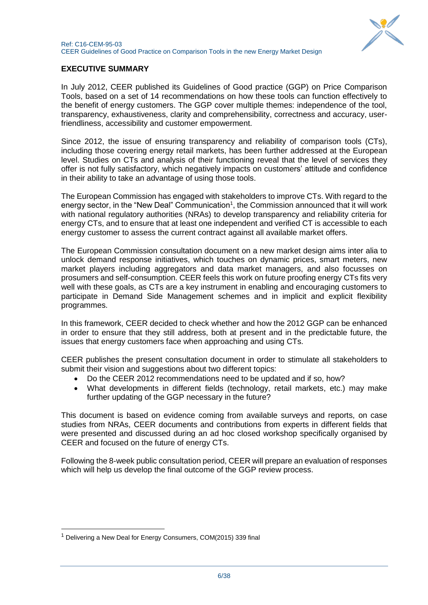

## **EXECUTIVE SUMMARY**

In July 2012, CEER published its Guidelines of Good practice (GGP) on Price Comparison Tools, based on a set of 14 recommendations on how these tools can function effectively to the benefit of energy customers. The GGP cover multiple themes: independence of the tool, transparency, exhaustiveness, clarity and comprehensibility, correctness and accuracy, userfriendliness, accessibility and customer empowerment.

Since 2012, the issue of ensuring transparency and reliability of comparison tools (CTs), including those covering energy retail markets, has been further addressed at the European level. Studies on CTs and analysis of their functioning reveal that the level of services they offer is not fully satisfactory, which negatively impacts on customers' attitude and confidence in their ability to take an advantage of using those tools.

The European Commission has engaged with stakeholders to improve CTs. With regard to the energy sector, in the "New Deal" Communication<sup>1</sup>, the Commission announced that it will work with national regulatory authorities (NRAs) to develop transparency and reliability criteria for energy CTs, and to ensure that at least one independent and verified CT is accessible to each energy customer to assess the current contract against all available market offers.

The European Commission consultation document on a new market design aims inter alia to unlock demand response initiatives, which touches on dynamic prices, smart meters, new market players including aggregators and data market managers, and also focusses on prosumers and self-consumption. CEER feels this work on future proofing energy CTs fits very well with these goals, as CTs are a key instrument in enabling and encouraging customers to participate in Demand Side Management schemes and in implicit and explicit flexibility programmes.

In this framework, CEER decided to check whether and how the 2012 GGP can be enhanced in order to ensure that they still address, both at present and in the predictable future, the issues that energy customers face when approaching and using CTs.

CEER publishes the present consultation document in order to stimulate all stakeholders to submit their vision and suggestions about two different topics:

- Do the CEER 2012 recommendations need to be updated and if so, how?
- What developments in different fields (technology, retail markets, etc.) may make further updating of the GGP necessary in the future?

This document is based on evidence coming from available surveys and reports, on case studies from NRAs, CEER documents and contributions from experts in different fields that were presented and discussed during an ad hoc closed workshop specifically organised by CEER and focused on the future of energy CTs.

Following the 8-week public consultation period, CEER will prepare an evaluation of responses which will help us develop the final outcome of the GGP review process.

1

 $1$  Delivering a New Deal for Energy Consumers, COM(2015) 339 final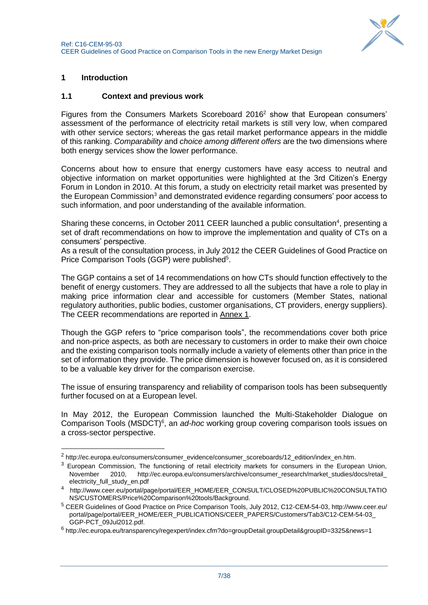## <span id="page-6-0"></span>**1 Introduction**

1

## <span id="page-6-1"></span>**1.1 Context and previous work**

Figures from the Consumers Markets Scoreboard 2016<sup>2</sup> show that European consumers' assessment of the performance of electricity retail markets is still very low, when compared with other service sectors; whereas the gas retail market performance appears in the middle of this ranking. *Comparability* and *choice among different offers* are the two dimensions where both energy services show the lower performance.

Concerns about how to ensure that energy customers have easy access to neutral and objective information on market opportunities were highlighted at the 3rd Citizen's Energy Forum in London in 2010. At this forum, a study on electricity retail market was presented by the European Commission<sup>3</sup> and demonstrated evidence regarding consumers' poor access to such information, and poor understanding of the available information.

Sharing these concerns, in October 2011 CEER launched a public consultation<sup>4</sup>, presenting a set of draft recommendations on how to improve the implementation and quality of CTs on a consumers' perspective.

As a result of the consultation process, in July 2012 the CEER Guidelines of Good Practice on Price Comparison Tools (GGP) were published<sup>5</sup>.

The GGP contains a set of 14 recommendations on how CTs should function effectively to the benefit of energy customers. They are addressed to all the subjects that have a role to play in making price information clear and accessible for customers (Member States, national regulatory authorities, public bodies, customer organisations, CT providers, energy suppliers). The CEER recommendations are reported in Annex 1.

Though the GGP refers to "price comparison tools", the recommendations cover both price and non-price aspects, as both are necessary to customers in order to make their own choice and the existing comparison tools normally include a variety of elements other than price in the set of information they provide. The price dimension is however focused on, as it is considered to be a valuable key driver for the comparison exercise.

The issue of ensuring transparency and reliability of comparison tools has been subsequently further focused on at a European level.

In May 2012, the European Commission launched the Multi-Stakeholder Dialogue on Comparison Tools (MSDCT)<sup>6</sup>, an *ad-hoc* working group covering comparison tools issues on a cross-sector perspective.

<sup>&</sup>lt;sup>2</sup> http://ec.europa.eu/consumers/consumer\_evidence/consumer\_scoreboards/12\_edition/index\_en.htm.

<sup>&</sup>lt;sup>3</sup> European Commission, The functioning of retail electricity markets for consumers in the European Union, November 2010, http://ec.europa.eu/consumers/archive/consumer\_research/market\_studies/docs/retail electricity\_full\_study\_en.pdf

<sup>4</sup> http://www.ceer.eu/portal/page/portal/EER\_HOME/EER\_CONSULT/CLOSED%20PUBLIC%20CONSULTATIO NS/CUSTOMERS/Price%20Comparison%20tools/Background.

<sup>5</sup> CEER Guidelines of Good Practice on Price Comparison Tools, July 2012, C12-CEM-54-03, http://www.ceer.eu/ portal/page/portal/EER\_HOME/EER\_PUBLICATIONS/CEER\_PAPERS/Customers/Tab3/C12-CEM-54-03\_ GGP-PCT\_09Jul2012.pdf.

<sup>6</sup> http://ec.europa.eu/transparency/regexpert/index.cfm?do=groupDetail.groupDetail&groupID=3325&news=1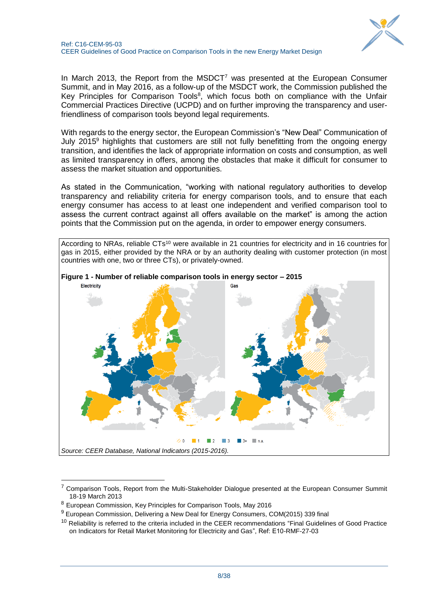



In March 2013, the Report from the MSDCT<sup>7</sup> was presented at the European Consumer Summit, and in May 2016, as a follow-up of the MSDCT work, the Commission published the Key Principles for Comparison Tools<sup>8</sup>, which focus both on compliance with the Unfair Commercial Practices Directive (UCPD) and on further improving the transparency and userfriendliness of comparison tools beyond legal requirements.

With regards to the energy sector, the European Commission's "New Deal" Communication of July 2015 $9$  highlights that customers are still not fully benefitting from the ongoing energy transition, and identifies the lack of appropriate information on costs and consumption, as well as limited transparency in offers, among the obstacles that make it difficult for consumer to assess the market situation and opportunities.

As stated in the Communication, "working with national regulatory authorities to develop transparency and reliability criteria for energy comparison tools, and to ensure that each energy consumer has access to at least one independent and verified comparison tool to assess the current contract against all offers available on the market" is among the action points that the Commission put on the agenda, in order to empower energy consumers.

According to NRAs, reliable CTs<sup>10</sup> were available in 21 countries for electricity and in 16 countries for gas in 2015, either provided by the NRA or by an authority dealing with customer protection (in most countries with one, two or three CTs), or privately-owned.





-

<sup>&</sup>lt;sup>7</sup> Comparison Tools, Report from the Multi-Stakeholder Dialogue presented at the European Consumer Summit 18-19 March 2013

<sup>8</sup> European Commission, Key Principles for Comparison Tools, May 2016

 $9$  European Commission, Delivering a New Deal for Energy Consumers, COM(2015) 339 final

<sup>&</sup>lt;sup>10</sup> Reliability is referred to the criteria included in the CEER recommendations "Final Guidelines of Good Practice on Indicators for Retail Market Monitoring for Electricity and Gas", Ref: E10-RMF-27-03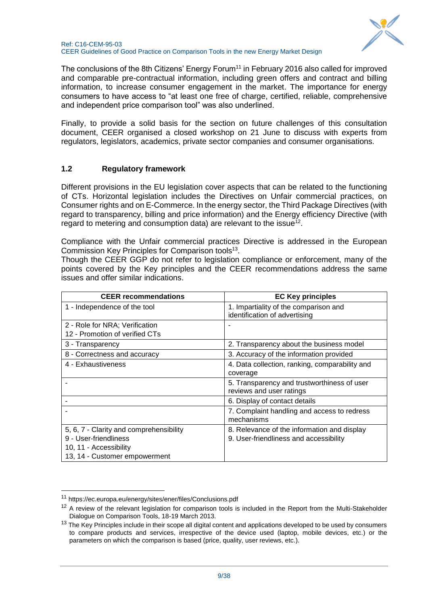

The conclusions of the 8th Citizens' Energy Forum<sup>11</sup> in February 2016 also called for improved and comparable pre-contractual information, including green offers and contract and billing information, to increase consumer engagement in the market. The importance for energy consumers to have access to "at least one free of charge, certified, reliable, comprehensive and independent price comparison tool" was also underlined.

Finally, to provide a solid basis for the section on future challenges of this consultation document, CEER organised a closed workshop on 21 June to discuss with experts from regulators, legislators, academics, private sector companies and consumer organisations.

### <span id="page-8-0"></span>**1.2 Regulatory framework**

Different provisions in the EU legislation cover aspects that can be related to the functioning of CTs. Horizontal legislation includes the Directives on Unfair commercial practices, on Consumer rights and on E-Commerce. In the energy sector, the Third Package Directives (with regard to transparency, billing and price information) and the Energy efficiency Directive (with regard to metering and consumption data) are relevant to the issue<sup>12</sup>.

Compliance with the Unfair commercial practices Directive is addressed in the European Commission Key Principles for Comparison tools<sup>13</sup>.

Though the CEER GGP do not refer to legislation compliance or enforcement, many of the points covered by the Key principles and the CEER recommendations address the same issues and offer similar indications.

| <b>CEER</b> recommendations             | <b>EC Key principles</b>                                                |
|-----------------------------------------|-------------------------------------------------------------------------|
| 1 - Independence of the tool            | 1. Impartiality of the comparison and<br>identification of advertising  |
| 2 - Role for NRA; Verification          |                                                                         |
| 12 - Promotion of verified CTs          |                                                                         |
| 3 - Transparency                        | 2. Transparency about the business model                                |
| 8 - Correctness and accuracy            | 3. Accuracy of the information provided                                 |
| 4 - Exhaustiveness                      | 4. Data collection, ranking, comparability and<br>coverage              |
|                                         | 5. Transparency and trustworthiness of user<br>reviews and user ratings |
|                                         | 6. Display of contact details                                           |
|                                         | 7. Complaint handling and access to redress<br>mechanisms               |
| 5, 6, 7 - Clarity and comprehensibility | 8. Relevance of the information and display                             |
| 9 - User-friendliness                   | 9. User-friendliness and accessibility                                  |
| 10, 11 - Accessibility                  |                                                                         |
| 13, 14 - Customer empowerment           |                                                                         |

-

<sup>11</sup> https://ec.europa.eu/energy/sites/ener/files/Conclusions.pdf

<sup>&</sup>lt;sup>12</sup> A review of the relevant legislation for comparison tools is included in the Report from the Multi-Stakeholder Dialogue on Comparison Tools, 18-19 March 2013.

<sup>&</sup>lt;sup>13</sup> The Key Principles include in their scope all digital content and applications developed to be used by consumers to compare products and services, irrespective of the device used (laptop, mobile devices, etc.) or the parameters on which the comparison is based (price, quality, user reviews, etc.).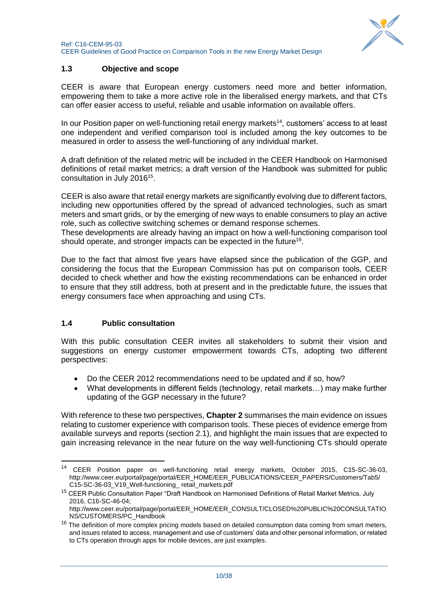

## <span id="page-9-0"></span>**1.3 Objective and scope**

CEER is aware that European energy customers need more and better information, empowering them to take a more active role in the liberalised energy markets, and that CTs can offer easier access to useful, reliable and usable information on available offers.

In our Position paper on well-functioning retail energy markets<sup>14</sup>, customers' access to at least one independent and verified comparison tool is included among the key outcomes to be measured in order to assess the well-functioning of any individual market.

A draft definition of the related metric will be included in the CEER Handbook on Harmonised definitions of retail market metrics; a draft version of the Handbook was submitted for public consultation in July 2016<sup>15</sup>.

CEER is also aware that retail energy markets are significantly evolving due to different factors, including new opportunities offered by the spread of advanced technologies, such as smart meters and smart grids, or by the emerging of new ways to enable consumers to play an active role, such as collective switching schemes or demand response schemes.

These developments are already having an impact on how a well-functioning comparison tool should operate, and stronger impacts can be expected in the future<sup>16</sup>.

Due to the fact that almost five years have elapsed since the publication of the GGP, and considering the focus that the European Commission has put on comparison tools, CEER decided to check whether and how the existing recommendations can be enhanced in order to ensure that they still address, both at present and in the predictable future, the issues that energy consumers face when approaching and using CTs.

### <span id="page-9-1"></span>**1.4 Public consultation**

1

With this public consultation CEER invites all stakeholders to submit their vision and suggestions on energy customer empowerment towards CTs, adopting two different perspectives:

- Do the CEER 2012 recommendations need to be updated and if so, how?
- What developments in different fields (technology, retail markets…) may make further updating of the GGP necessary in the future?

With reference to these two perspectives, **Chapter 2** summarises the main evidence on issues relating to customer experience with comparison tools. These pieces of evidence emerge from available surveys and reports (section 2.1), and highlight the main issues that are expected to gain increasing relevance in the near future on the way well-functioning CTs should operate

<sup>14</sup> CEER Position paper on well-functioning retail energy markets, October 2015, C15-SC-36-03, http://www.ceer.eu/portal/page/portal/EER\_HOME/EER\_PUBLICATIONS/CEER\_PAPERS/Customers/Tab5/ C15-SC-36-03\_V19\_Well-functioning\_ retail\_markets.pdf

<sup>&</sup>lt;sup>15</sup> CEER Public Consultation Paper "Draft Handbook on Harmonised Definitions of Retail Market Metrics, July 2016, C16-SC-46-04;

http://www.ceer.eu/portal/page/portal/EER\_HOME/EER\_CONSULT/CLOSED%20PUBLIC%20CONSULTATIO NS/CUSTOMERS/PC\_Handbook

<sup>&</sup>lt;sup>16</sup> The definition of more complex pricing models based on detailed consumption data coming from smart meters, and issues related to access, management and use of customers' data and other personal information, or related to CTs operation through apps for mobile devices, are just examples.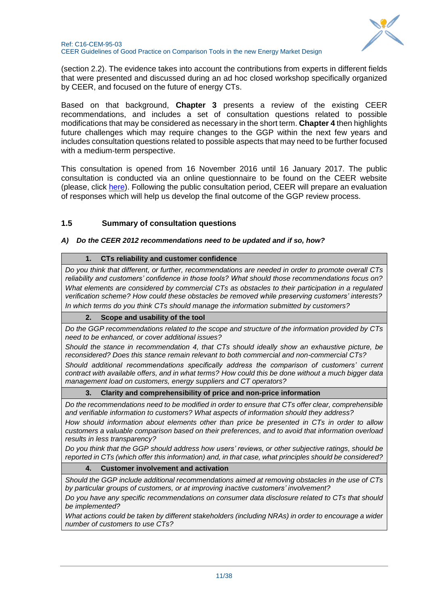

(section 2.2). The evidence takes into account the contributions from experts in different fields that were presented and discussed during an ad hoc closed workshop specifically organized by CEER, and focused on the future of energy CTs.

Based on that background, **Chapter 3** presents a review of the existing CEER recommendations, and includes a set of consultation questions related to possible modifications that may be considered as necessary in the short term. **Chapter 4** then highlights future challenges which may require changes to the GGP within the next few years and includes consultation questions related to possible aspects that may need to be further focused with a medium-term perspective.

This consultation is opened from 16 November 2016 until 16 January 2017. The public consultation is conducted via an online questionnaire to be found on the CEER website (please, click [here\)](http://www.ceer.eu/portal/page/portal/EER_HOME/EER_CONSULT/OPEN_PUBLIC_CONSULTATIONS/PC_on_CTs). Following the public consultation period, CEER will prepare an evaluation of responses which will help us develop the final outcome of the GGP review process.

## <span id="page-10-0"></span>**1.5 Summary of consultation questions**

#### *A) Do the CEER 2012 recommendations need to be updated and if so, how?*

#### **1. CTs reliability and customer confidence**

*Do you think that different, or further, recommendations are needed in order to promote overall CTs reliability and customers' confidence in those tools? What should those recommendations focus on? What elements are considered by commercial CTs as obstacles to their participation in a regulated verification scheme? How could these obstacles be removed while preserving customers' interests? In which terms do you think CTs should manage the information submitted by customers?*

### **2. Scope and usability of the tool**

*Do the GGP recommendations related to the scope and structure of the information provided by CTs need to be enhanced, or cover additional issues?*

*Should the stance in recommendation 4, that CTs should ideally show an exhaustive picture, be reconsidered? Does this stance remain relevant to both commercial and non-commercial CTs?*

*Should additional recommendations specifically address the comparison of customers' current contract with available offers, and in what terms? How could this be done without a much bigger data management load on customers, energy suppliers and CT operators?*

#### **3. Clarity and comprehensibility of price and non-price information**

*Do the recommendations need to be modified in order to ensure that CTs offer clear, comprehensible and verifiable information to customers? What aspects of information should they address?*

*How should information about elements other than price be presented in CTs in order to allow customers a valuable comparison based on their preferences, and to avoid that information overload results in less transparency?*

*Do you think that the GGP should address how users' reviews, or other subjective ratings, should be reported in CTs (which offer this information) and, in that case, what principles should be considered?*

### **4. Customer involvement and activation**

*Should the GGP include additional recommendations aimed at removing obstacles in the use of CTs by particular groups of customers, or at improving inactive customers' involvement?*

*Do you have any specific recommendations on consumer data disclosure related to CTs that should be implemented?*

*What actions could be taken by different stakeholders (including NRAs) in order to encourage a wider number of customers to use CTs?*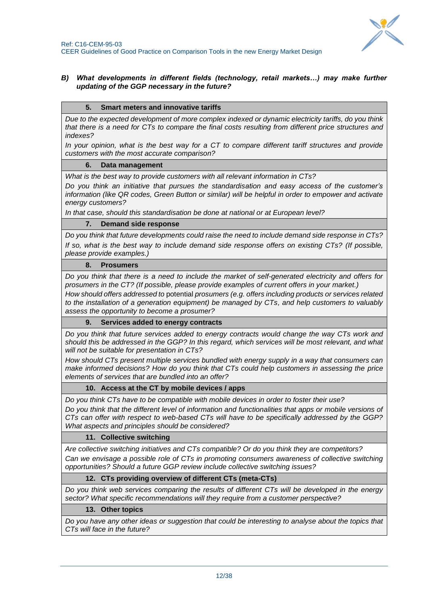

#### *B) What developments in different fields (technology, retail markets…) may make further updating of the GGP necessary in the future?*

#### **5. Smart meters and innovative tariffs**

*Due to the expected development of more complex indexed or dynamic electricity tariffs, do you think that there is a need for CTs to compare the final costs resulting from different price structures and indexes?*

*In your opinion, what is the best way for a CT to compare different tariff structures and provide customers with the most accurate comparison?*

#### **6. Data management**

*What is the best way to provide customers with all relevant information in CTs?*

*Do you think an initiative that pursues the standardisation and easy access of the customer's information (like QR codes, Green Button or similar) will be helpful in order to empower and activate energy customers?* 

*In that case, should this standardisation be done at national or at European level?*

#### **7. Demand side response**

*Do you think that future developments could raise the need to include demand side response in CTs? If so, what is the best way to include demand side response offers on existing CTs? (If possible, please provide examples.)*

#### **8. Prosumers**

*Do you think that there is a need to include the market of self-generated electricity and offers for prosumers in the CT? (If possible, please provide examples of current offers in your market.)*

*How should offers addressed to* potential *prosumers (e.g. offers including products or services related to the installation of a generation equipment) be managed by CTs, and help customers to valuably assess the opportunity to become a prosumer?*

#### **9. Services added to energy contracts**

*Do you think that future services added to energy contracts would change the way CTs work and should this be addressed in the GGP? In this regard, which services will be most relevant, and what will not be suitable for presentation in CTs?*

*How should CTs present multiple services bundled with energy supply in a way that consumers can make informed decisions? How do you think that CTs could help customers in assessing the price elements of services that are bundled into an offer?*

#### **10. Access at the CT by mobile devices / apps**

*Do you think CTs have to be compatible with mobile devices in order to foster their use?*

*Do you think that the different level of information and functionalities that apps or mobile versions of CTs can offer with respect to web-based CTs will have to be specifically addressed by the GGP? What aspects and principles should be considered?*

#### **11. Collective switching**

*Are collective switching initiatives and CTs compatible? Or do you think they are competitors?* 

*Can we envisage a possible role of CTs in promoting consumers awareness of collective switching opportunities? Should a future GGP review include collective switching issues?*

#### **12. CTs providing overview of different CTs (meta-CTs)**

*Do you think web services comparing the results of different CTs will be developed in the energy sector? What specific recommendations will they require from a customer perspective?* 

#### **13. Other topics**

*Do you have any other ideas or suggestion that could be interesting to analyse about the topics that CTs will face in the future?*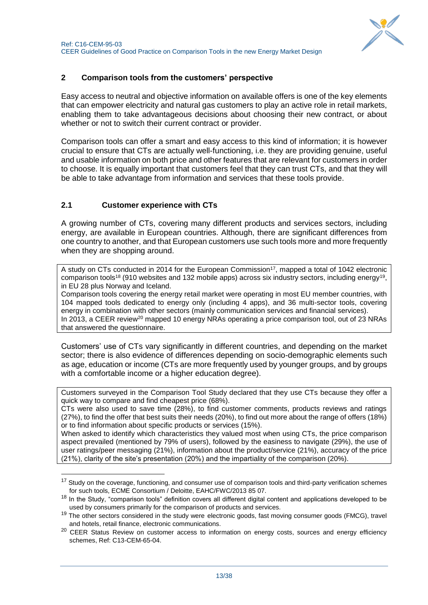

## <span id="page-12-0"></span>**2 Comparison tools from the customers' perspective**

Easy access to neutral and objective information on available offers is one of the key elements that can empower electricity and natural gas customers to play an active role in retail markets, enabling them to take advantageous decisions about choosing their new contract, or about whether or not to switch their current contract or provider.

Comparison tools can offer a smart and easy access to this kind of information; it is however crucial to ensure that CTs are actually well-functioning, i.e. they are providing genuine, useful and usable information on both price and other features that are relevant for customers in order to choose. It is equally important that customers feel that they can trust CTs, and that they will be able to take advantage from information and services that these tools provide.

## <span id="page-12-1"></span>**2.1 Customer experience with CTs**

1

A growing number of CTs, covering many different products and services sectors, including energy, are available in European countries. Although, there are significant differences from one country to another, and that European customers use such tools more and more frequently when they are shopping around.

A study on CTs conducted in 2014 for the European Commission<sup>17</sup>, mapped a total of 1042 electronic comparison tools<sup>18</sup> (910 websites and 132 mobile apps) across six industry sectors, including energy<sup>19</sup>, in EU 28 plus Norway and Iceland.

Comparison tools covering the energy retail market were operating in most EU member countries, with 104 mapped tools dedicated to energy only (including 4 apps), and 36 multi-sector tools, covering energy in combination with other sectors (mainly communication services and financial services). In 2013, a CEER review<sup>20</sup> mapped 10 energy NRAs operating a price comparison tool, out of 23 NRAs that answered the questionnaire.

Customers' use of CTs vary significantly in different countries, and depending on the market sector; there is also evidence of differences depending on socio-demographic elements such as age, education or income (CTs are more frequently used by younger groups, and by groups with a comfortable income or a higher education degree).

Customers surveyed in the Comparison Tool Study declared that they use CTs because they offer a quick way to compare and find cheapest price (68%).

CTs were also used to save time (28%), to find customer comments, products reviews and ratings (27%), to find the offer that best suits their needs (20%), to find out more about the range of offers (18%) or to find information about specific products or services (15%).

When asked to identify which characteristics they valued most when using CTs, the price comparison aspect prevailed (mentioned by 79% of users), followed by the easiness to navigate (29%), the use of user ratings/peer messaging (21%), information about the product/service (21%), accuracy of the price (21%), clarity of the site's presentation (20%) and the impartiality of the comparison (20%).

<sup>&</sup>lt;sup>17</sup> Study on the coverage, functioning, and consumer use of comparison tools and third-party verification schemes for such tools, ECME Consortium / Deloitte, EAHC/FWC/2013 85 07.

<sup>&</sup>lt;sup>18</sup> In the Study, "comparison tools" definition covers all different digital content and applications developed to be used by consumers primarily for the comparison of products and services.

<sup>&</sup>lt;sup>19</sup> The other sectors considered in the study were electronic goods, fast moving consumer goods (FMCG), travel and hotels, retail finance, electronic communications.

<sup>&</sup>lt;sup>20</sup> CEER Status Review on customer access to information on energy costs, sources and energy efficiency schemes, Ref: C13-CEM-65-04.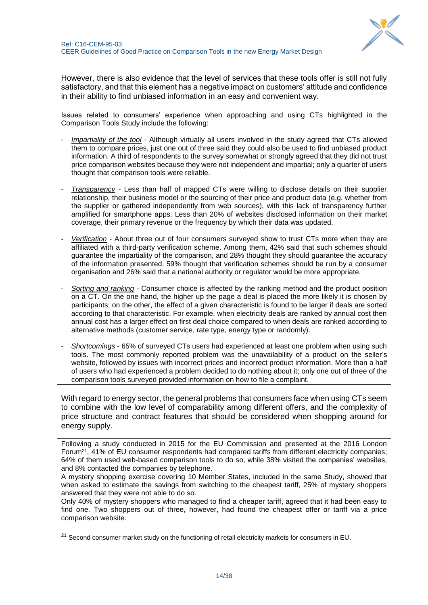

However, there is also evidence that the level of services that these tools offer is still not fully satisfactory, and that this element has a negative impact on customers' attitude and confidence in their ability to find unbiased information in an easy and convenient way.

Issues related to consumers' experience when approaching and using CTs highlighted in the Comparison Tools Study include the following:

- *Impartiality of the tool* Although virtually all users involved in the study agreed that CTs allowed them to compare prices, just one out of three said they could also be used to find unbiased product information. A third of respondents to the survey somewhat or strongly agreed that they did not trust price comparison websites because they were not independent and impartial; only a quarter of users thought that comparison tools were reliable.
- *Transparency* Less than half of mapped CTs were willing to disclose details on their supplier relationship, their business model or the sourcing of their price and product data (e.g. whether from the supplier or gathered independently from web sources), with this lack of transparency further amplified for smartphone apps. Less than 20% of websites disclosed information on their market coverage, their primary revenue or the frequency by which their data was updated.
- *Verification* About three out of four consumers surveyed show to trust CTs more when they are affiliated with a third-party verification scheme. Among them, 42% said that such schemes should guarantee the impartiality of the comparison, and 28% thought they should guarantee the accuracy of the information presented. 59% thought that verification schemes should be run by a consumer organisation and 26% said that a national authority or regulator would be more appropriate.
- *Sorting and ranking* Consumer choice is affected by the ranking method and the product position on a CT. On the one hand, the higher up the page a deal is placed the more likely it is chosen by participants; on the other, the effect of a given characteristic is found to be larger if deals are sorted according to that characteristic. For example, when electricity deals are ranked by annual cost then annual cost has a larger effect on first deal choice compared to when deals are ranked according to alternative methods (customer service, rate type, energy type or randomly).
- *Shortcomings* 65% of surveyed CTs users had experienced at least one problem when using such tools. The most commonly reported problem was the unavailability of a product on the seller's website, followed by issues with incorrect prices and incorrect product information. More than a half of users who had experienced a problem decided to do nothing about it; only one out of three of the comparison tools surveyed provided information on how to file a complaint.

With regard to energy sector, the general problems that consumers face when using CTs seem to combine with the low level of comparability among different offers, and the complexity of price structure and contract features that should be considered when shopping around for energy supply.

Following a study conducted in 2015 for the EU Commission and presented at the 2016 London Forum<sup>21</sup>, 41% of EU consumer respondents had compared tariffs from different electricity companies; 64% of them used web-based comparison tools to do so, while 38% visited the companies' websites, and 8% contacted the companies by telephone.

A mystery shopping exercise covering 10 Member States, included in the same Study, showed that when asked to estimate the savings from switching to the cheapest tariff, 25% of mystery shoppers answered that they were not able to do so.

Only 40% of mystery shoppers who managed to find a cheaper tariff, agreed that it had been easy to find one. Two shoppers out of three, however, had found the cheapest offer or tariff via a price comparison website.

1

<sup>&</sup>lt;sup>21</sup> Second consumer market study on the functioning of retail electricity markets for consumers in EU.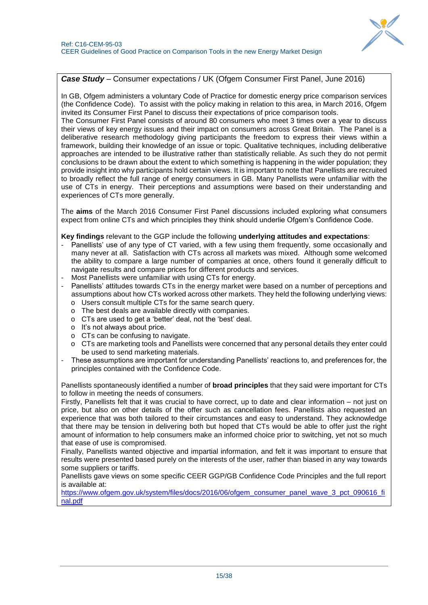

### *Case Study* – Consumer expectations / UK (Ofgem Consumer First Panel, June 2016)

In GB, Ofgem administers a voluntary Code of Practice for domestic energy price comparison services (the Confidence Code). To assist with the policy making in relation to this area, in March 2016, Ofgem invited its Consumer First Panel to discuss their expectations of price comparison tools.

The Consumer First Panel consists of around 80 consumers who meet 3 times over a year to discuss their views of key energy issues and their impact on consumers across Great Britain. The Panel is a deliberative research methodology giving participants the freedom to express their views within a framework, building their knowledge of an issue or topic. Qualitative techniques, including deliberative approaches are intended to be illustrative rather than statistically reliable. As such they do not permit conclusions to be drawn about the extent to which something is happening in the wider population; they provide insight into why participants hold certain views. It is important to note that Panellists are recruited to broadly reflect the full range of energy consumers in GB. Many Panellists were unfamiliar with the use of CTs in energy. Their perceptions and assumptions were based on their understanding and experiences of CTs more generally.

The **aims** of the March 2016 Consumer First Panel discussions included exploring what consumers expect from online CTs and which principles they think should underlie Ofgem's Confidence Code.

#### **Key findings** relevant to the GGP include the following **underlying attitudes and expectations**:

- Panellists' use of any type of CT varied, with a few using them frequently, some occasionally and many never at all. Satisfaction with CTs across all markets was mixed. Although some welcomed the ability to compare a large number of companies at once, others found it generally difficult to navigate results and compare prices for different products and services.
- Most Panellists were unfamiliar with using CTs for energy.
- Panellists' attitudes towards CTs in the energy market were based on a number of perceptions and assumptions about how CTs worked across other markets. They held the following underlying views: o Users consult multiple CTs for the same search query.
	- o The best deals are available directly with companies.
	- o CTs are used to get a 'better' deal, not the 'best' deal.
	- o It's not always about price.
	- o CTs can be confusing to navigate.
	- o CTs are marketing tools and Panellists were concerned that any personal details they enter could be used to send marketing materials.
- These assumptions are important for understanding Panellists' reactions to, and preferences for, the principles contained with the Confidence Code.

Panellists spontaneously identified a number of **broad principles** that they said were important for CTs to follow in meeting the needs of consumers.

Firstly, Panellists felt that it was crucial to have correct, up to date and clear information – not just on price, but also on other details of the offer such as cancellation fees. Panellists also requested an experience that was both tailored to their circumstances and easy to understand. They acknowledge that there may be tension in delivering both but hoped that CTs would be able to offer just the right amount of information to help consumers make an informed choice prior to switching, yet not so much that ease of use is compromised.

Finally, Panellists wanted objective and impartial information, and felt it was important to ensure that results were presented based purely on the interests of the user, rather than biased in any way towards some suppliers or tariffs.

Panellists gave views on some specific CEER GGP/GB Confidence Code Principles and the full report is available at:

[https://www.ofgem.gov.uk/system/files/docs/2016/06/ofgem\\_consumer\\_panel\\_wave\\_3\\_pct\\_090616\\_fi](https://www.ofgem.gov.uk/system/files/docs/2016/06/ofgem_consumer_panel_wave_3_pct_090616_final.pdf) [nal.pdf](https://www.ofgem.gov.uk/system/files/docs/2016/06/ofgem_consumer_panel_wave_3_pct_090616_final.pdf)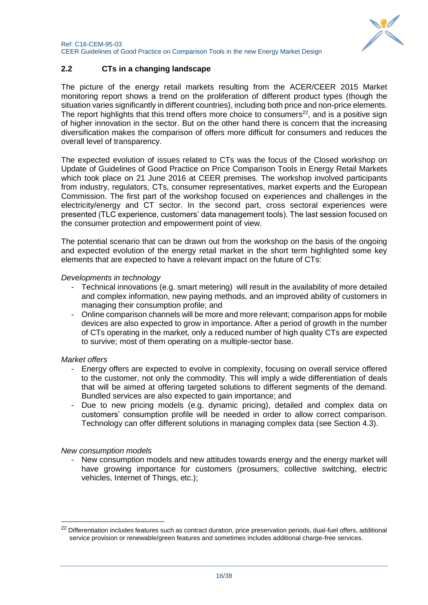

## <span id="page-15-0"></span>**2.2 CTs in a changing landscape**

The picture of the energy retail markets resulting from the ACER/CEER 2015 Market monitoring report shows a trend on the proliferation of different product types (though the situation varies significantly in different countries), including both price and non-price elements. The report highlights that this trend offers more choice to consumers<sup>22</sup>, and is a positive sign of higher innovation in the sector. But on the other hand there is concern that the increasing diversification makes the comparison of offers more difficult for consumers and reduces the overall level of transparency.

The expected evolution of issues related to CTs was the focus of the Closed workshop on Update of Guidelines of Good Practice on Price Comparison Tools in Energy Retail Markets which took place on 21 June 2016 at CEER premises. The workshop involved participants from industry, regulators, CTs, consumer representatives, market experts and the European Commission. The first part of the workshop focused on experiences and challenges in the electricity/energy and CT sector. In the second part, cross sectoral experiences were presented (TLC experience, customers' data management tools). The last session focused on the consumer protection and empowerment point of view.

The potential scenario that can be drawn out from the workshop on the basis of the ongoing and expected evolution of the energy retail market in the short term highlighted some key elements that are expected to have a relevant impact on the future of CTs:

#### *Developments in technology*

- Technical innovations (e.g. smart metering) will result in the availability of more detailed and complex information, new paying methods, and an improved ability of customers in managing their consumption profile; and
- Online comparison channels will be more and more relevant; comparison apps for mobile devices are also expected to grow in importance. After a period of growth in the number of CTs operating in the market, only a reduced number of high quality CTs are expected to survive; most of them operating on a multiple-sector base.

#### *Market offers*

-

- Energy offers are expected to evolve in complexity, focusing on overall service offered to the customer, not only the commodity. This will imply a wide differentiation of deals that will be aimed at offering targeted solutions to different segments of the demand. Bundled services are also expected to gain importance; and
- Due to new pricing models (e.g. dynamic pricing), detailed and complex data on customers' consumption profile will be needed in order to allow correct comparison. Technology can offer different solutions in managing complex data (see Section 4.3).

### *New consumption models*

- New consumption models and new attitudes towards energy and the energy market will have growing importance for customers (prosumers, collective switching, electric vehicles, Internet of Things, etc.);

<sup>&</sup>lt;sup>22</sup> Differentiation includes features such as contract duration, price preservation periods, dual-fuel offers, additional service provision or renewable/green features and sometimes includes additional charge-free services.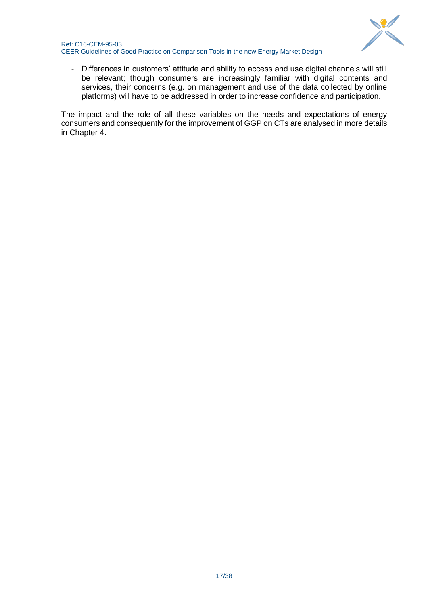

- Differences in customers' attitude and ability to access and use digital channels will still be relevant; though consumers are increasingly familiar with digital contents and services, their concerns (e.g. on management and use of the data collected by online platforms) will have to be addressed in order to increase confidence and participation.

The impact and the role of all these variables on the needs and expectations of energy consumers and consequently for the improvement of GGP on CTs are analysed in more details in Chapter 4.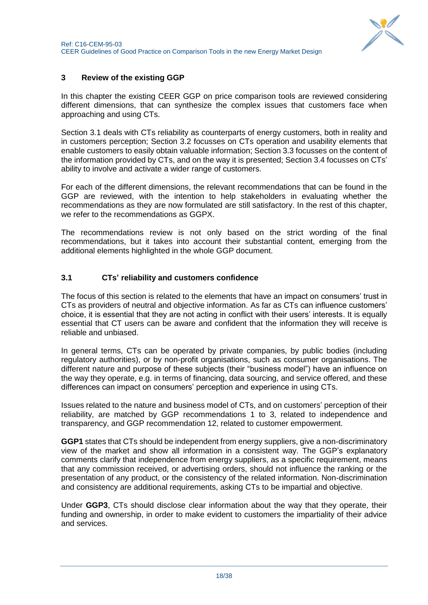

## <span id="page-17-0"></span>**3 Review of the existing GGP**

In this chapter the existing CEER GGP on price comparison tools are reviewed considering different dimensions, that can synthesize the complex issues that customers face when approaching and using CTs.

Section 3.1 deals with CTs reliability as counterparts of energy customers, both in reality and in customers perception; Section 3.2 focusses on CTs operation and usability elements that enable customers to easily obtain valuable information; Section 3.3 focusses on the content of the information provided by CTs, and on the way it is presented; Section 3.4 focusses on CTs' ability to involve and activate a wider range of customers.

For each of the different dimensions, the relevant recommendations that can be found in the GGP are reviewed, with the intention to help stakeholders in evaluating whether the recommendations as they are now formulated are still satisfactory. In the rest of this chapter, we refer to the recommendations as GGPX.

The recommendations review is not only based on the strict wording of the final recommendations, but it takes into account their substantial content, emerging from the additional elements highlighted in the whole GGP document.

## <span id="page-17-1"></span>**3.1 CTs' reliability and customers confidence**

The focus of this section is related to the elements that have an impact on consumers' trust in CTs as providers of neutral and objective information. As far as CTs can influence customers' choice, it is essential that they are not acting in conflict with their users' interests. It is equally essential that CT users can be aware and confident that the information they will receive is reliable and unbiased.

In general terms, CTs can be operated by private companies, by public bodies (including regulatory authorities), or by non-profit organisations, such as consumer organisations. The different nature and purpose of these subjects (their "business model") have an influence on the way they operate, e.g. in terms of financing, data sourcing, and service offered, and these differences can impact on consumers' perception and experience in using CTs.

Issues related to the nature and business model of CTs, and on customers' perception of their reliability, are matched by GGP recommendations 1 to 3, related to independence and transparency, and GGP recommendation 12, related to customer empowerment.

**GGP1** states that CTs should be independent from energy suppliers, give a non-discriminatory view of the market and show all information in a consistent way. The GGP's explanatory comments clarify that independence from energy suppliers, as a specific requirement, means that any commission received, or advertising orders, should not influence the ranking or the presentation of any product, or the consistency of the related information. Non-discrimination and consistency are additional requirements, asking CTs to be impartial and objective.

Under **GGP3**, CTs should disclose clear information about the way that they operate, their funding and ownership, in order to make evident to customers the impartiality of their advice and services.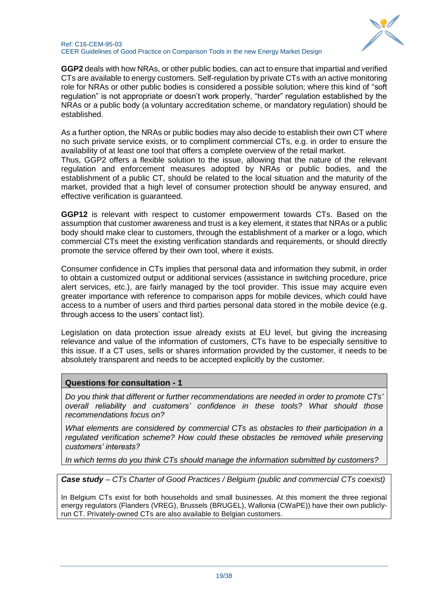

**GGP2** deals with how NRAs, or other public bodies, can act to ensure that impartial and verified CTs are available to energy customers. Self-regulation by private CTs with an active monitoring role for NRAs or other public bodies is considered a possible solution; where this kind of "soft regulation" is not appropriate or doesn't work properly, "harder" regulation established by the NRAs or a public body (a voluntary accreditation scheme, or mandatory regulation) should be established.

As a further option, the NRAs or public bodies may also decide to establish their own CT where no such private service exists, or to compliment commercial CTs, e.g. in order to ensure the availability of at least one tool that offers a complete overview of the retail market.

Thus, GGP2 offers a flexible solution to the issue, allowing that the nature of the relevant regulation and enforcement measures adopted by NRAs or public bodies, and the establishment of a public CT, should be related to the local situation and the maturity of the market, provided that a high level of consumer protection should be anyway ensured, and effective verification is guaranteed.

**GGP12** is relevant with respect to customer empowerment towards CTs. Based on the assumption that customer awareness and trust is a key element, it states that NRAs or a public body should make clear to customers, through the establishment of a marker or a logo, which commercial CTs meet the existing verification standards and requirements, or should directly promote the service offered by their own tool, where it exists.

Consumer confidence in CTs implies that personal data and information they submit, in order to obtain a customized output or additional services (assistance in switching procedure, price alert services, etc.), are fairly managed by the tool provider. This issue may acquire even greater importance with reference to comparison apps for mobile devices, which could have access to a number of users and third parties personal data stored in the mobile device (e.g. through access to the users' contact list).

Legislation on data protection issue already exists at EU level, but giving the increasing relevance and value of the information of customers, CTs have to be especially sensitive to this issue. If a CT uses, sells or shares information provided by the customer, it needs to be absolutely transparent and needs to be accepted explicitly by the customer.

### **Questions for consultation - 1**

*Do you think that different or further recommendations are needed in order to promote CTs' overall reliability and customers' confidence in these tools? What should those recommendations focus on?*

*What elements are considered by commercial CTs as obstacles to their participation in a*  regulated verification scheme? How could these obstacles be removed while preserving *customers' interests?*

*In which terms do you think CTs should manage the information submitted by customers?*

*Case study – CTs Charter of Good Practices / Belgium (public and commercial CTs coexist)*

In Belgium CTs exist for both households and small businesses. At this moment the three regional energy regulators (Flanders (VREG), Brussels (BRUGEL), Wallonia (CWaPE)) have their own publiclyrun CT. Privately-owned CTs are also available to Belgian customers.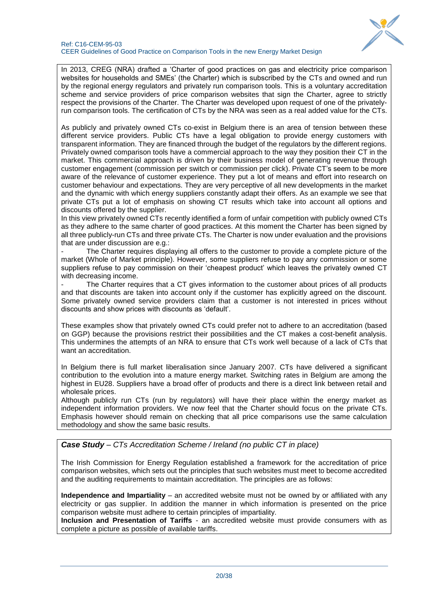

In 2013, CREG (NRA) drafted a 'Charter of good practices on gas and electricity price comparison websites for households and SMEs' (the Charter) which is subscribed by the CTs and owned and run by the regional energy regulators and privately run comparison tools. This is a voluntary accreditation scheme and service providers of price comparison websites that sign the Charter, agree to strictly respect the provisions of the Charter. The Charter was developed upon request of one of the privatelyrun comparison tools. The certification of CTs by the NRA was seen as a real added value for the CTs.

As publicly and privately owned CTs co-exist in Belgium there is an area of tension between these different service providers. Public CTs have a legal obligation to provide energy customers with transparent information. They are financed through the budget of the regulators by the different regions. Privately owned comparison tools have a commercial approach to the way they position their CT in the market. This commercial approach is driven by their business model of generating revenue through customer engagement (commission per switch or commission per click). Private CT's seem to be more aware of the relevance of customer experience. They put a lot of means and effort into research on customer behaviour and expectations. They are very perceptive of all new developments in the market and the dynamic with which energy suppliers constantly adapt their offers. As an example we see that private CTs put a lot of emphasis on showing CT results which take into account all options and discounts offered by the supplier.

In this view privately owned CTs recently identified a form of unfair competition with publicly owned CTs as they adhere to the same charter of good practices. At this moment the Charter has been signed by all three publicly-run CTs and three private CTs. The Charter is now under evaluation and the provisions that are under discussion are e.g.:

The Charter requires displaying all offers to the customer to provide a complete picture of the market (Whole of Market principle). However, some suppliers refuse to pay any commission or some suppliers refuse to pay commission on their 'cheapest product' which leaves the privately owned CT with decreasing income.

The Charter requires that a CT gives information to the customer about prices of all products and that discounts are taken into account only if the customer has explicitly agreed on the discount. Some privately owned service providers claim that a customer is not interested in prices without discounts and show prices with discounts as 'default'.

These examples show that privately owned CTs could prefer not to adhere to an accreditation (based on GGP) because the provisions restrict their possibilities and the CT makes a cost-benefit analysis. This undermines the attempts of an NRA to ensure that CTs work well because of a lack of CTs that want an accreditation.

In Belgium there is full market liberalisation since January 2007. CTs have delivered a significant contribution to the evolution into a mature energy market. Switching rates in Belgium are among the highest in EU28. Suppliers have a broad offer of products and there is a direct link between retail and wholesale prices.

Although publicly run CTs (run by regulators) will have their place within the energy market as independent information providers. We now feel that the Charter should focus on the private CTs. Emphasis however should remain on checking that all price comparisons use the same calculation methodology and show the same basic results.

*Case Study – CTs Accreditation Scheme / Ireland (no public CT in place)*

The Irish Commission for Energy Regulation established a framework for the accreditation of price comparison websites, which sets out the principles that such websites must meet to become accredited and the auditing requirements to maintain accreditation. The principles are as follows:

**Independence and Impartiality** – an accredited website must not be owned by or affiliated with any electricity or gas supplier. In addition the manner in which information is presented on the price comparison website must adhere to certain principles of impartiality.

**Inclusion and Presentation of Tariffs** - an accredited website must provide consumers with as complete a picture as possible of available tariffs.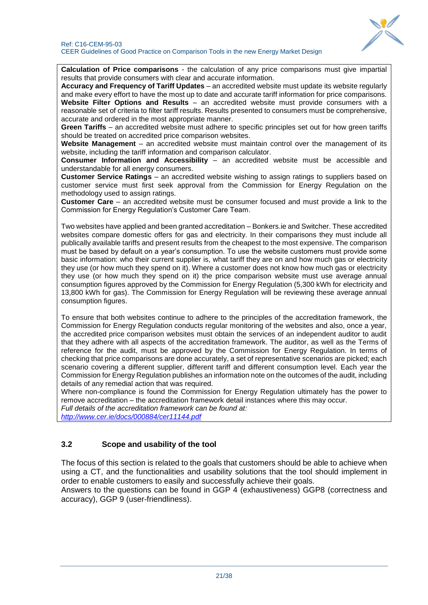

**Calculation of Price comparisons** - the calculation of any price comparisons must give impartial results that provide consumers with clear and accurate information.

**Accuracy and Frequency of Tariff Updates** – an accredited website must update its website regularly and make every effort to have the most up to date and accurate tariff information for price comparisons. **Website Filter Options and Results** – an accredited website must provide consumers with a reasonable set of criteria to filter tariff results. Results presented to consumers must be comprehensive, accurate and ordered in the most appropriate manner.

**Green Tariffs** – an accredited website must adhere to specific principles set out for how green tariffs should be treated on accredited price comparison websites.

**Website Management** – an accredited website must maintain control over the management of its website, including the tariff information and comparison calculator.

**Consumer Information and Accessibility** – an accredited website must be accessible and understandable for all energy consumers.

**Customer Service Ratings** – an accredited website wishing to assign ratings to suppliers based on customer service must first seek approval from the Commission for Energy Regulation on the methodology used to assign ratings.

**Customer Care** – an accredited website must be consumer focused and must provide a link to the Commission for Energy Regulation's Customer Care Team.

Two websites have applied and been granted accreditation – Bonkers.ie and Switcher. These accredited websites compare domestic offers for gas and electricity. In their comparisons they must include all publically available tariffs and present results from the cheapest to the most expensive. The comparison must be based by default on a year's consumption. To use the website customers must provide some basic information: who their current supplier is, what tariff they are on and how much gas or electricity they use (or how much they spend on it). Where a customer does not know how much gas or electricity they use (or how much they spend on it) the price comparison website must use average annual consumption figures approved by the Commission for Energy Regulation (5,300 kWh for electricity and 13,800 kWh for gas). The Commission for Energy Regulation will be reviewing these average annual consumption figures.

To ensure that both websites continue to adhere to the principles of the accreditation framework, the Commission for Energy Regulation conducts regular monitoring of the websites and also, once a year, the accredited price comparison websites must obtain the services of an independent auditor to audit that they adhere with all aspects of the accreditation framework. The auditor, as well as the Terms of reference for the audit, must be approved by the Commission for Energy Regulation. In terms of checking that price comparisons are done accurately, a set of representative scenarios are picked; each scenario covering a different supplier, different tariff and different consumption level. Each year the Commission for Energy Regulation publishes an information note on the outcomes of the audit, including details of any remedial action that was required.

Where non-compliance is found the Commission for Energy Regulation ultimately has the power to remove accreditation – the accreditation framework detail instances where this may occur. *Full details of the accreditation framework can be found at: <http://www.cer.ie/docs/000884/cer11144.pdf>*

## <span id="page-20-0"></span>**3.2 Scope and usability of the tool**

The focus of this section is related to the goals that customers should be able to achieve when using a CT, and the functionalities and usability solutions that the tool should implement in order to enable customers to easily and successfully achieve their goals.

Answers to the questions can be found in GGP 4 (exhaustiveness) GGP8 (correctness and accuracy), GGP 9 (user-friendliness).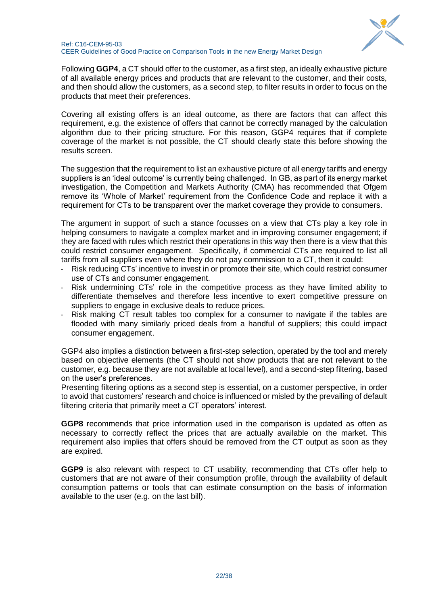

Following **GGP4**, a CT should offer to the customer, as a first step, an ideally exhaustive picture of all available energy prices and products that are relevant to the customer, and their costs, and then should allow the customers, as a second step, to filter results in order to focus on the products that meet their preferences.

Covering all existing offers is an ideal outcome, as there are factors that can affect this requirement, e.g. the existence of offers that cannot be correctly managed by the calculation algorithm due to their pricing structure. For this reason, GGP4 requires that if complete coverage of the market is not possible, the CT should clearly state this before showing the results screen.

The suggestion that the requirement to list an exhaustive picture of all energy tariffs and energy suppliers is an 'ideal outcome' is currently being challenged. In GB, as part of its energy market investigation, the Competition and Markets Authority (CMA) has recommended that Ofgem remove its 'Whole of Market' requirement from the Confidence Code and replace it with a requirement for CTs to be transparent over the market coverage they provide to consumers.

The argument in support of such a stance focusses on a view that CTs play a key role in helping consumers to navigate a complex market and in improving consumer engagement; if they are faced with rules which restrict their operations in this way then there is a view that this could restrict consumer engagement. Specifically, if commercial CTs are required to list all tariffs from all suppliers even where they do not pay commission to a CT, then it could:

- Risk reducing CTs' incentive to invest in or promote their site, which could restrict consumer use of CTs and consumer engagement.
- Risk undermining CTs' role in the competitive process as they have limited ability to differentiate themselves and therefore less incentive to exert competitive pressure on suppliers to engage in exclusive deals to reduce prices.
- Risk making CT result tables too complex for a consumer to navigate if the tables are flooded with many similarly priced deals from a handful of suppliers; this could impact consumer engagement.

GGP4 also implies a distinction between a first-step selection, operated by the tool and merely based on objective elements (the CT should not show products that are not relevant to the customer, e.g. because they are not available at local level), and a second-step filtering, based on the user's preferences.

Presenting filtering options as a second step is essential, on a customer perspective, in order to avoid that customers' research and choice is influenced or misled by the prevailing of default filtering criteria that primarily meet a CT operators' interest.

**GGP8** recommends that price information used in the comparison is updated as often as necessary to correctly reflect the prices that are actually available on the market. This requirement also implies that offers should be removed from the CT output as soon as they are expired.

**GGP9** is also relevant with respect to CT usability, recommending that CTs offer help to customers that are not aware of their consumption profile, through the availability of default consumption patterns or tools that can estimate consumption on the basis of information available to the user (e.g. on the last bill).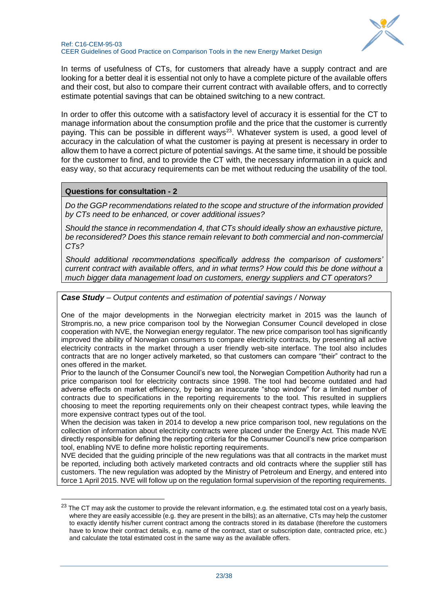

In terms of usefulness of CTs, for customers that already have a supply contract and are looking for a better deal it is essential not only to have a complete picture of the available offers and their cost, but also to compare their current contract with available offers, and to correctly estimate potential savings that can be obtained switching to a new contract.

In order to offer this outcome with a satisfactory level of accuracy it is essential for the CT to manage information about the consumption profile and the price that the customer is currently paying. This can be possible in different ways<sup>23</sup>. Whatever system is used, a good level of accuracy in the calculation of what the customer is paying at present is necessary in order to allow them to have a correct picture of potential savings. At the same time, it should be possible for the customer to find, and to provide the CT with, the necessary information in a quick and easy way, so that accuracy requirements can be met without reducing the usability of the tool.

#### **Questions for consultation - 2**

-

*Do the GGP recommendations related to the scope and structure of the information provided by CTs need to be enhanced, or cover additional issues?*

*Should the stance in recommendation 4, that CTs should ideally show an exhaustive picture, be reconsidered? Does this stance remain relevant to both commercial and non-commercial CTs?*

*Should additional recommendations specifically address the comparison of customers' current contract with available offers, and in what terms? How could this be done without a much bigger data management load on customers, energy suppliers and CT operators?*

#### *Case Study – Output contents and estimation of potential savings / Norway*

One of the major developments in the Norwegian electricity market in 2015 was the launch of Strompris.no, a new price comparison tool by the Norwegian Consumer Council developed in close cooperation with NVE, the Norwegian energy regulator. The new price comparison tool has significantly improved the ability of Norwegian consumers to compare electricity contracts, by presenting all active electricity contracts in the market through a user friendly web-site interface. The tool also includes contracts that are no longer actively marketed, so that customers can compare "their" contract to the ones offered in the market.

Prior to the launch of the Consumer Council's new tool, the Norwegian Competition Authority had run a price comparison tool for electricity contracts since 1998. The tool had become outdated and had adverse effects on market efficiency, by being an inaccurate "shop window" for a limited number of contracts due to specifications in the reporting requirements to the tool. This resulted in suppliers choosing to meet the reporting requirements only on their cheapest contract types, while leaving the more expensive contract types out of the tool.

When the decision was taken in 2014 to develop a new price comparison tool, new regulations on the collection of information about electricity contracts were placed under the Energy Act. This made NVE directly responsible for defining the reporting criteria for the Consumer Council's new price comparison tool, enabling NVE to define more holistic reporting requirements.

NVE decided that the guiding principle of the new regulations was that all contracts in the market must be reported, including both actively marketed contracts and old contracts where the supplier still has customers. The new regulation was adopted by the Ministry of Petroleum and Energy, and entered into force 1 April 2015. NVE will follow up on the regulation formal supervision of the reporting requirements.

<sup>&</sup>lt;sup>23</sup> The CT may ask the customer to provide the relevant information, e.g. the estimated total cost on a yearly basis, where they are easily accessible (e.g. they are present in the bills); as an alternative, CTs may help the customer to exactly identify his/her current contract among the contracts stored in its database (therefore the customers have to know their contract details, e.g. name of the contract, start or subscription date, contracted price, etc.) and calculate the total estimated cost in the same way as the available offers.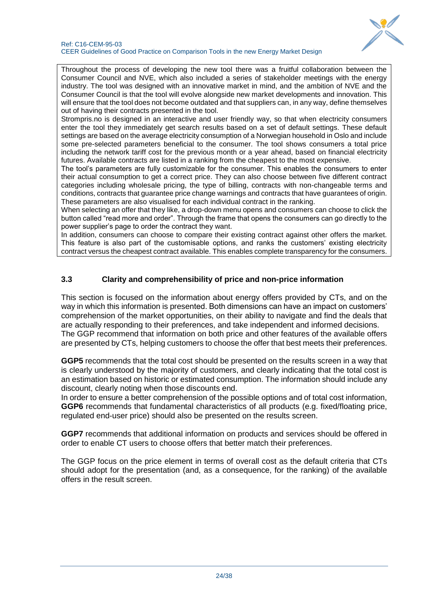

Throughout the process of developing the new tool there was a fruitful collaboration between the Consumer Council and NVE, which also included a series of stakeholder meetings with the energy industry. The tool was designed with an innovative market in mind, and the ambition of NVE and the Consumer Council is that the tool will evolve alongside new market developments and innovation. This will ensure that the tool does not become outdated and that suppliers can, in any way, define themselves out of having their contracts presented in the tool.

Strompris.no is designed in an interactive and user friendly way, so that when electricity consumers enter the tool they immediately get search results based on a set of default settings. These default settings are based on the average electricity consumption of a Norwegian household in Oslo and include some pre-selected parameters beneficial to the consumer. The tool shows consumers a total price including the network tariff cost for the previous month or a year ahead, based on financial electricity futures. Available contracts are listed in a ranking from the cheapest to the most expensive.

The tool's parameters are fully customizable for the consumer. This enables the consumers to enter their actual consumption to get a correct price. They can also choose between five different contract categories including wholesale pricing, the type of billing, contracts with non-changeable terms and conditions, contracts that guarantee price change warnings and contracts that have guarantees of origin. These parameters are also visualised for each individual contract in the ranking.

When selecting an offer that they like, a drop-down menu opens and consumers can choose to click the button called "read more and order". Through the frame that opens the consumers can go directly to the power supplier's page to order the contract they want.

In addition, consumers can choose to compare their existing contract against other offers the market. This feature is also part of the customisable options, and ranks the customers' existing electricity contract versus the cheapest contract available. This enables complete transparency for the consumers.

## <span id="page-23-0"></span>**3.3 Clarity and comprehensibility of price and non-price information**

This section is focused on the information about energy offers provided by CTs, and on the way in which this information is presented. Both dimensions can have an impact on customers' comprehension of the market opportunities, on their ability to navigate and find the deals that are actually responding to their preferences, and take independent and informed decisions. The GGP recommend that information on both price and other features of the available offers are presented by CTs, helping customers to choose the offer that best meets their preferences.

**GGP5** recommends that the total cost should be presented on the results screen in a way that is clearly understood by the majority of customers, and clearly indicating that the total cost is an estimation based on historic or estimated consumption. The information should include any discount, clearly noting when those discounts end.

In order to ensure a better comprehension of the possible options and of total cost information, **GGP6** recommends that fundamental characteristics of all products (e.g. fixed/floating price, regulated end-user price) should also be presented on the results screen.

**GGP7** recommends that additional information on products and services should be offered in order to enable CT users to choose offers that better match their preferences.

The GGP focus on the price element in terms of overall cost as the default criteria that CTs should adopt for the presentation (and, as a consequence, for the ranking) of the available offers in the result screen.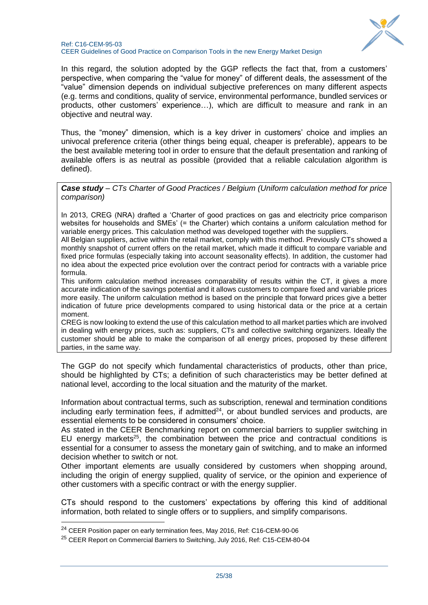

In this regard, the solution adopted by the GGP reflects the fact that, from a customers' perspective, when comparing the "value for money" of different deals, the assessment of the "value" dimension depends on individual subjective preferences on many different aspects (e.g. terms and conditions, quality of service, environmental performance, bundled services or products, other customers' experience…), which are difficult to measure and rank in an objective and neutral way.

Thus, the "money" dimension, which is a key driver in customers' choice and implies an univocal preference criteria (other things being equal, cheaper is preferable), appears to be the best available metering tool in order to ensure that the default presentation and ranking of available offers is as neutral as possible (provided that a reliable calculation algorithm is defined).

*Case study – CTs Charter of Good Practices / Belgium (Uniform calculation method for price comparison)*

In 2013, CREG (NRA) drafted a 'Charter of good practices on gas and electricity price comparison websites for households and SMEs' (= the Charter) which contains a uniform calculation method for variable energy prices. This calculation method was developed together with the suppliers.

All Belgian suppliers, active within the retail market, comply with this method. Previously CTs showed a monthly snapshot of current offers on the retail market, which made it difficult to compare variable and fixed price formulas (especially taking into account seasonality effects). In addition, the customer had no idea about the expected price evolution over the contract period for contracts with a variable price formula.

This uniform calculation method increases comparability of results within the CT, it gives a more accurate indication of the savings potential and it allows customers to compare fixed and variable prices more easily. The uniform calculation method is based on the principle that forward prices give a better indication of future price developments compared to using historical data or the price at a certain moment.

CREG is now looking to extend the use of this calculation method to all market parties which are involved in dealing with energy prices, such as: suppliers, CTs and collective switching organizers. Ideally the customer should be able to make the comparison of all energy prices, proposed by these different parties, in the same way.

The GGP do not specify which fundamental characteristics of products, other than price, should be highlighted by CTs; a definition of such characteristics may be better defined at national level, according to the local situation and the maturity of the market.

Information about contractual terms, such as subscription, renewal and termination conditions including early termination fees, if admitted<sup>24</sup>, or about bundled services and products, are essential elements to be considered in consumers' choice.

As stated in the CEER Benchmarking report on commercial barriers to supplier switching in EU energy markets<sup>25</sup>, the combination between the price and contractual conditions is essential for a consumer to assess the monetary gain of switching, and to make an informed decision whether to switch or not.

Other important elements are usually considered by customers when shopping around, including the origin of energy supplied, quality of service, or the opinion and experience of other customers with a specific contract or with the energy supplier.

CTs should respond to the customers' expectations by offering this kind of additional information, both related to single offers or to suppliers, and simplify comparisons.

1

<sup>&</sup>lt;sup>24</sup> CEER Position paper on early termination fees, May 2016, Ref: C16-CEM-90-06

<sup>&</sup>lt;sup>25</sup> CEER Report on Commercial Barriers to Switching, July 2016, Ref: C15-CEM-80-04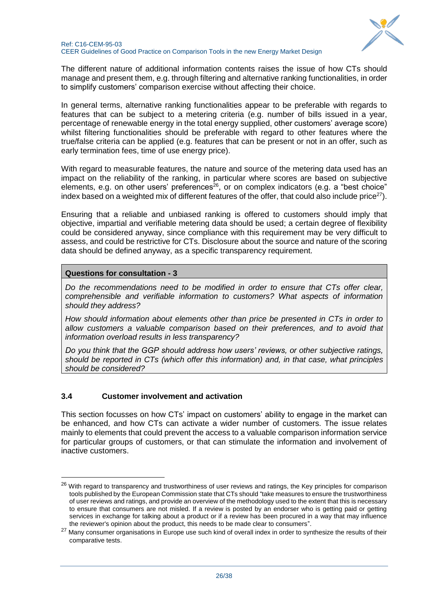

The different nature of additional information contents raises the issue of how CTs should manage and present them, e.g. through filtering and alternative ranking functionalities, in order to simplify customers' comparison exercise without affecting their choice.

In general terms, alternative ranking functionalities appear to be preferable with regards to features that can be subject to a metering criteria (e.g. number of bills issued in a year, percentage of renewable energy in the total energy supplied, other customers' average score) whilst filtering functionalities should be preferable with regard to other features where the true/false criteria can be applied (e.g. features that can be present or not in an offer, such as early termination fees, time of use energy price).

With regard to measurable features, the nature and source of the metering data used has an impact on the reliability of the ranking, in particular where scores are based on subjective elements, e.g. on other users' preferences<sup>26</sup>, or on complex indicators (e.g. a "best choice" index based on a weighted mix of different features of the offer, that could also include price<sup>27</sup>).

Ensuring that a reliable and unbiased ranking is offered to customers should imply that objective, impartial and verifiable metering data should be used; a certain degree of flexibility could be considered anyway, since compliance with this requirement may be very difficult to assess, and could be restrictive for CTs. Disclosure about the source and nature of the scoring data should be defined anyway, as a specific transparency requirement.

### **Questions for consultation - 3**

-

*Do the recommendations need to be modified in order to ensure that CTs offer clear, comprehensible and verifiable information to customers? What aspects of information should they address?*

*How should information about elements other than price be presented in CTs in order to allow customers a valuable comparison based on their preferences, and to avoid that information overload results in less transparency?*

*Do you think that the GGP should address how users' reviews, or other subjective ratings, should be reported in CTs (which offer this information) and, in that case, what principles should be considered?*

### <span id="page-25-0"></span>**3.4 Customer involvement and activation**

This section focusses on how CTs' impact on customers' ability to engage in the market can be enhanced, and how CTs can activate a wider number of customers. The issue relates mainly to elements that could prevent the access to a valuable comparison information service for particular groups of customers, or that can stimulate the information and involvement of inactive customers.

<sup>&</sup>lt;sup>26</sup> With regard to transparency and trustworthiness of user reviews and ratings, the Key principles for comparison tools published by the European Commission state that CTs should "take measures to ensure the trustworthiness of user reviews and ratings, and provide an overview of the methodology used to the extent that this is necessary to ensure that consumers are not misled. If a review is posted by an endorser who is getting paid or getting services in exchange for talking about a product or if a review has been procured in a way that may influence the reviewer's opinion about the product, this needs to be made clear to consumers".

<sup>&</sup>lt;sup>27</sup> Many consumer organisations in Europe use such kind of overall index in order to synthesize the results of their comparative tests.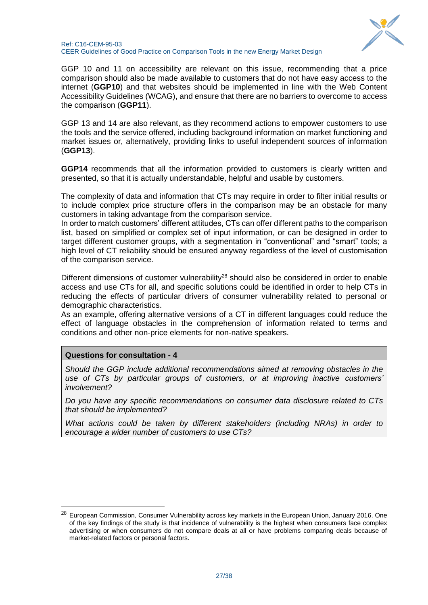

GGP 10 and 11 on accessibility are relevant on this issue, recommending that a price comparison should also be made available to customers that do not have easy access to the internet (**GGP10**) and that websites should be implemented in line with the Web Content Accessibility Guidelines (WCAG), and ensure that there are no barriers to overcome to access the comparison (**GGP11**).

GGP 13 and 14 are also relevant, as they recommend actions to empower customers to use the tools and the service offered, including background information on market functioning and market issues or, alternatively, providing links to useful independent sources of information (**GGP13**).

**GGP14** recommends that all the information provided to customers is clearly written and presented, so that it is actually understandable, helpful and usable by customers.

The complexity of data and information that CTs may require in order to filter initial results or to include complex price structure offers in the comparison may be an obstacle for many customers in taking advantage from the comparison service.

In order to match customers' different attitudes, CTs can offer different paths to the comparison list, based on simplified or complex set of input information, or can be designed in order to target different customer groups, with a segmentation in "conventional" and "smart" tools; a high level of CT reliability should be ensured anyway regardless of the level of customisation of the comparison service.

Different dimensions of customer vulnerability<sup>28</sup> should also be considered in order to enable access and use CTs for all, and specific solutions could be identified in order to help CTs in reducing the effects of particular drivers of consumer vulnerability related to personal or demographic characteristics.

As an example, offering alternative versions of a CT in different languages could reduce the effect of language obstacles in the comprehension of information related to terms and conditions and other non-price elements for non-native speakers.

### **Questions for consultation - 4**

1

*Should the GGP include additional recommendations aimed at removing obstacles in the use of CTs by particular groups of customers, or at improving inactive customers' involvement?*

*Do you have any specific recommendations on consumer data disclosure related to CTs that should be implemented?*

*What actions could be taken by different stakeholders (including NRAs) in order to encourage a wider number of customers to use CTs?*

<sup>28</sup> European Commission, Consumer Vulnerability across key markets in the European Union, January 2016. One of the key findings of the study is that incidence of vulnerability is the highest when consumers face complex advertising or when consumers do not compare deals at all or have problems comparing deals because of market-related factors or personal factors.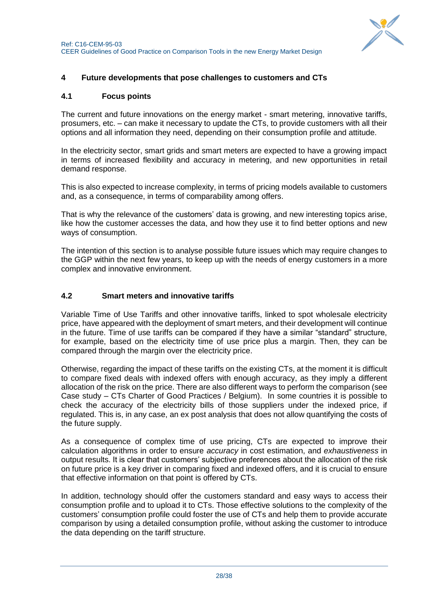

## <span id="page-27-0"></span>**4 Future developments that pose challenges to customers and CTs**

#### <span id="page-27-1"></span>**4.1 Focus points**

The current and future innovations on the energy market - smart metering, innovative tariffs, prosumers, etc. – can make it necessary to update the CTs, to provide customers with all their options and all information they need, depending on their consumption profile and attitude.

In the electricity sector, smart grids and smart meters are expected to have a growing impact in terms of increased flexibility and accuracy in metering, and new opportunities in retail demand response.

This is also expected to increase complexity, in terms of pricing models available to customers and, as a consequence, in terms of comparability among offers.

That is why the relevance of the customers' data is growing, and new interesting topics arise, like how the customer accesses the data, and how they use it to find better options and new ways of consumption.

The intention of this section is to analyse possible future issues which may require changes to the GGP within the next few years, to keep up with the needs of energy customers in a more complex and innovative environment.

### <span id="page-27-2"></span>**4.2 Smart meters and innovative tariffs**

Variable Time of Use Tariffs and other innovative tariffs, linked to spot wholesale electricity price, have appeared with the deployment of smart meters, and their development will continue in the future. Time of use tariffs can be compared if they have a similar "standard" structure, for example, based on the electricity time of use price plus a margin. Then, they can be compared through the margin over the electricity price.

Otherwise, regarding the impact of these tariffs on the existing CTs, at the moment it is difficult to compare fixed deals with indexed offers with enough accuracy, as they imply a different allocation of the risk on the price. There are also different ways to perform the comparison (see Case study – CTs Charter of Good Practices / Belgium). In some countries it is possible to check the accuracy of the electricity bills of those suppliers under the indexed price, if regulated. This is, in any case, an ex post analysis that does not allow quantifying the costs of the future supply.

As a consequence of complex time of use pricing, CTs are expected to improve their calculation algorithms in order to ensure *accuracy* in cost estimation, and *exhaustiveness* in output results. It is clear that customers' subjective preferences about the allocation of the risk on future price is a key driver in comparing fixed and indexed offers, and it is crucial to ensure that effective information on that point is offered by CTs.

In addition, technology should offer the customers standard and easy ways to access their consumption profile and to upload it to CTs. Those effective solutions to the complexity of the customers' consumption profile could foster the use of CTs and help them to provide accurate comparison by using a detailed consumption profile, without asking the customer to introduce the data depending on the tariff structure.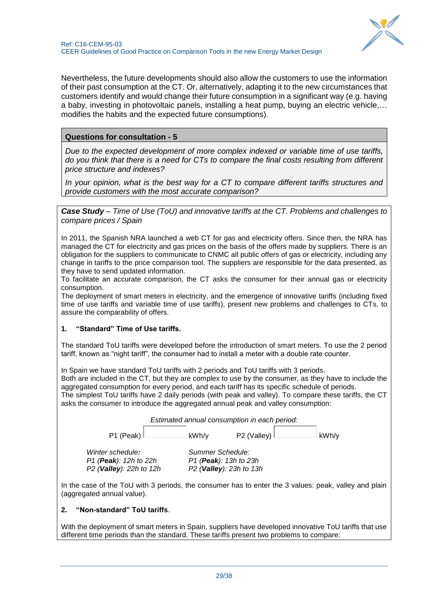

Nevertheless, the future developments should also allow the customers to use the information of their past consumption at the CT. Or, alternatively, adapting it to the new circumstances that customers identify and would change their future consumption in a significant way (e.g. having a baby, investing in photovoltaic panels, installing a heat pump, buying an electric vehicle,… modifies the habits and the expected future consumptions).

## **Questions for consultation - 5**

*Due to the expected development of more complex indexed or variable time of use tariffs, do you think that there is a need for CTs to compare the final costs resulting from different price structure and indexes?*

*In your opinion, what is the best way for a CT to compare different tariffs structures and provide customers with the most accurate comparison?*

*Case Study – Time of Use (ToU) and innovative tariffs at the CT. Problems and challenges to compare prices / Spain*

In 2011, the Spanish NRA launched a web CT for gas and electricity offers. Since then, the NRA has managed the CT for electricity and gas prices on the basis of the offers made by suppliers. There is an obligation for the suppliers to communicate to CNMC all public offers of gas or electricity, including any change in tariffs to the price comparison tool. The suppliers are responsible for the data presented, as they have to send updated information.

To facilitate an accurate comparison, the CT asks the consumer for their annual gas or electricity consumption.

The deployment of smart meters in electricity, and the emergence of innovative tariffs (including fixed time of use tariffs and variable time of use tariffs), present new problems and challenges to CTs, to assure the comparability of offers.

### **1. "Standard" Time of Use tariffs.**

The standard ToU tariffs were developed before the introduction of smart meters. To use the 2 period tariff, known as "night tariff", the consumer had to install a meter with a double rate counter.

In Spain we have standard ToU tariffs with 2 periods and ToU tariffs with 3 periods.

Both are included in the CT, but they are complex to use by the consumer, as they have to include the aggregated consumption for every period, and each tariff has its specific schedule of periods.

The simplest ToU tariffs have 2 daily periods (with peak and valley). To compare these tariffs, the CT asks the consumer to introduce the aggregated annual peak and valley consumption:



In the case of the ToU with 3 periods, the consumer has to enter the 3 values: peak, valley and plain (aggregated annual value).

#### **2. "Non-standard" ToU tariffs**.

With the deployment of smart meters in Spain, suppliers have developed innovative ToU tariffs that use different time periods than the standard. These tariffs present two problems to compare: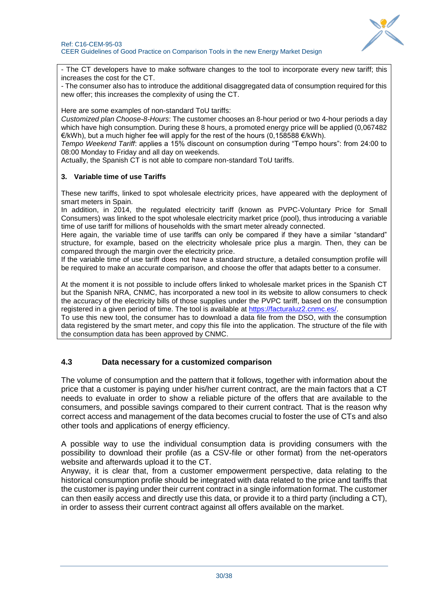

- The CT developers have to make software changes to the tool to incorporate every new tariff; this increases the cost for the CT.

- The consumer also has to introduce the additional disaggregated data of consumption required for this new offer; this increases the complexity of using the CT.

Here are some examples of non-standard ToU tariffs:

*Customized plan Choose-8-Hours*: The customer chooses an 8-hour period or two 4-hour periods a day which have high consumption. During these 8 hours, a promoted energy price will be applied (0,067482  $E/KWh$ , but a much higher fee will apply for the rest of the hours (0,158588  $E/KWh$ ).

*Tempo Weekend Tariff*: applies a 15% discount on consumption during "Tempo hours": from 24:00 to 08:00 Monday to Friday and all day on weekends.

Actually, the Spanish CT is not able to compare non-standard ToU tariffs.

#### **3. Variable time of use Tariffs**

These new tariffs, linked to spot wholesale electricity prices, have appeared with the deployment of smart meters in Spain.

In addition, in 2014, the regulated electricity tariff (known as PVPC-Voluntary Price for Small Consumers) was linked to the spot wholesale electricity market price (pool), thus introducing a variable time of use tariff for millions of households with the smart meter already connected.

Here again, the variable time of use tariffs can only be compared if they have a similar "standard" structure, for example, based on the electricity wholesale price plus a margin. Then, they can be compared through the margin over the electricity price.

If the variable time of use tariff does not have a standard structure, a detailed consumption profile will be required to make an accurate comparison, and choose the offer that adapts better to a consumer.

At the moment it is not possible to include offers linked to wholesale market prices in the Spanish CT but the Spanish NRA, CNMC, has incorporated a new tool in its website to allow consumers to check the accuracy of the electricity bills of those supplies under the PVPC tariff, based on the consumption registered in a given period of time. The tool is available at [https://facturaluz2.cnmc.es/.](https://facturaluz2.cnmc.es/)

To use this new tool, the consumer has to download a data file from the DSO, with the consumption data registered by the smart meter, and copy this file into the application. The structure of the file with the consumption data has been approved by CNMC.

### <span id="page-29-0"></span>**4.3 Data necessary for a customized comparison**

The volume of consumption and the pattern that it follows, together with information about the price that a customer is paying under his/her current contract, are the main factors that a CT needs to evaluate in order to show a reliable picture of the offers that are available to the consumers, and possible savings compared to their current contract. That is the reason why correct access and management of the data becomes crucial to foster the use of CTs and also other tools and applications of energy efficiency.

A possible way to use the individual consumption data is providing consumers with the possibility to download their profile (as a CSV-file or other format) from the net-operators website and afterwards upload it to the CT.

Anyway, it is clear that, from a customer empowerment perspective, data relating to the historical consumption profile should be integrated with data related to the price and tariffs that the customer is paying under their current contract in a single information format. The customer can then easily access and directly use this data, or provide it to a third party (including a CT), in order to assess their current contract against all offers available on the market.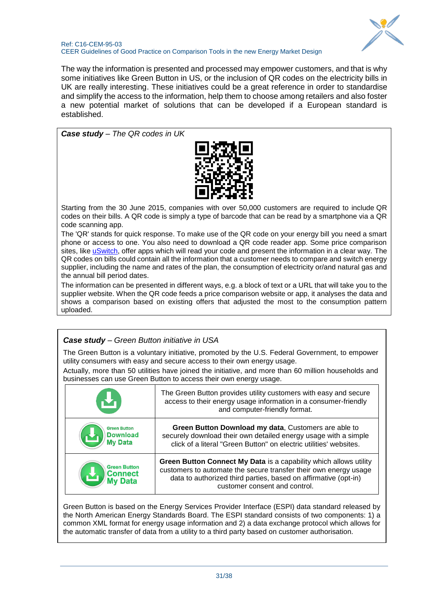

#### Ref: C16-CEM-95-03 CEER Guidelines of Good Practice on Comparison Tools in the new Energy Market Design

The way the information is presented and processed may empower customers, and that is why some initiatives like Green Button in US, or the inclusion of QR codes on the electricity bills in UK are really interesting. These initiatives could be a great reference in order to standardise and simplify the access to the information, help them to choose among retailers and also foster a new potential market of solutions that can be developed if a European standard is established.

*Case study – The QR codes in UK*



Starting from the 30 June 2015, companies with over 50,000 customers are required to include QR codes on their bills. A QR code is simply a type of barcode that can be read by a smartphone via a QR code scanning app.

The 'QR' stands for quick response. To make use of the QR code on your energy bill you need a smart phone or access to one. You also need to download a QR code reader app. Some price comparison sites, like [uSwitch,](https://www.uswitch.com/gas-electricity/guides/energy-bills-qr-codes/) offer apps which will read your code and present the information in a clear way. The QR codes on bills could contain all the information that a customer needs to compare and switch energy supplier, including the name and rates of the plan, the consumption of electricity or/and natural gas and the annual bill period dates.

The information can be presented in different ways, e.g. a block of text or a URL that will take you to the supplier website. When the QR code feeds a price comparison website or app, it analyses the data and shows a comparison based on existing offers that adjusted the most to the consumption pattern uploaded.

## *Case study – Green Button initiative in USA*

The Green Button is a voluntary initiative, promoted by the U.S. Federal Government, to empower utility consumers with easy and secure access to their own energy usage.

Actually, more than 50 utilities have joined the initiative, and more than 60 million households and businesses can use Green Button to access their own energy usage.

|                                                          | The Green Button provides utility customers with easy and secure<br>access to their energy usage information in a consumer-friendly<br>and computer-friendly format.                                                                             |
|----------------------------------------------------------|--------------------------------------------------------------------------------------------------------------------------------------------------------------------------------------------------------------------------------------------------|
| <b>Green Button</b><br><b>Download</b><br><b>My Data</b> | Green Button Download my data, Customers are able to<br>securely download their own detailed energy usage with a simple<br>click of a literal "Green Button" on electric utilities' websites.                                                    |
| <b>Green Button</b><br><b>Connect</b>                    | <b>Green Button Connect My Data is a capability which allows utility</b><br>customers to automate the secure transfer their own energy usage<br>data to authorized third parties, based on affirmative (opt-in)<br>customer consent and control. |

Green Button is based on the Energy Services Provider Interface (ESPI) data standard released by the North American Energy Standards Board. The ESPI standard consists of two components: 1) a common XML format for energy usage information and 2) a data exchange protocol which allows for the automatic transfer of data from a utility to a third party based on customer authorisation.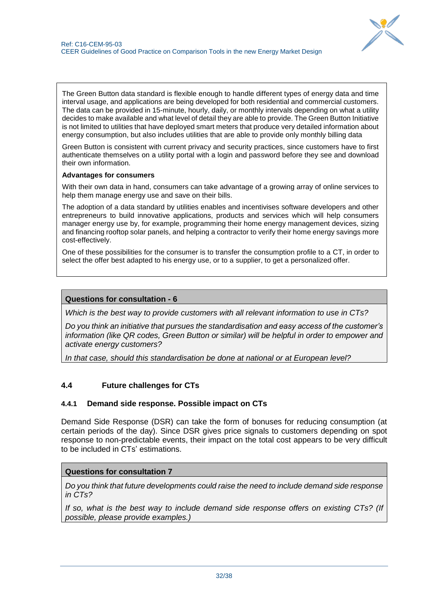

The Green Button data standard is flexible enough to handle different types of energy data and time interval usage, and applications are being developed for both residential and commercial customers. The data can be provided in 15-minute, hourly, daily, or monthly intervals depending on what a utility decides to make available and what level of detail they are able to provide. The Green Button Initiative is not limited to utilities that have deployed smart meters that produce very detailed information about energy consumption, but also includes utilities that are able to provide only monthly billing data

Green Button is consistent with current privacy and security practices, since customers have to first authenticate themselves on a utility portal with a login and password before they see and download their own information.

#### **Advantages for consumers**

With their own data in hand, consumers can take advantage of a growing array of online services to help them manage energy use and save on their bills.

The adoption of a data standard by utilities enables and incentivises software developers and other entrepreneurs to build innovative applications, products and services which will help consumers manager energy use by, for example, programming their home energy management devices, sizing and financing rooftop solar panels, and helping a contractor to verify their home energy savings more cost-effectively.

One of these possibilities for the consumer is to transfer the consumption profile to a CT, in order to select the offer best adapted to his energy use, or to a supplier, to get a personalized offer.

#### **Questions for consultation - 6**

*Which is the best way to provide customers with all relevant information to use in CTs?*

*Do you think an initiative that pursues the standardisation and easy access of the customer's information (like QR codes, Green Button or similar) will be helpful in order to empower and activate energy customers?* 

*In that case, should this standardisation be done at national or at European level?*

### <span id="page-31-0"></span>**4.4 Future challenges for CTs**

### <span id="page-31-1"></span>**4.4.1 Demand side response. Possible impact on CTs**

Demand Side Response (DSR) can take the form of bonuses for reducing consumption (at certain periods of the day). Since DSR gives price signals to customers depending on spot response to non-predictable events, their impact on the total cost appears to be very difficult to be included in CTs' estimations.

### **Questions for consultation 7**

*Do you think that future developments could raise the need to include demand side response in CTs?*

*If so, what is the best way to include demand side response offers on existing CTs? (If possible, please provide examples.)*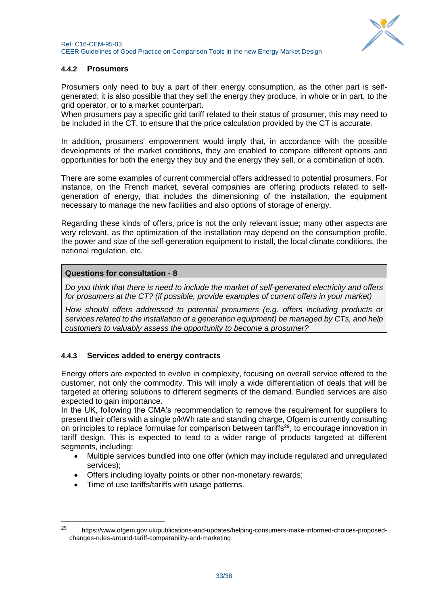

## <span id="page-32-0"></span>**4.4.2 Prosumers**

Prosumers only need to buy a part of their energy consumption, as the other part is selfgenerated; it is also possible that they sell the energy they produce, in whole or in part, to the grid operator, or to a market counterpart.

When prosumers pay a specific grid tariff related to their status of prosumer, this may need to be included in the CT, to ensure that the price calculation provided by the CT is accurate.

In addition, prosumers' empowerment would imply that, in accordance with the possible developments of the market conditions, they are enabled to compare different options and opportunities for both the energy they buy and the energy they sell, or a combination of both.

There are some examples of current commercial offers addressed to potential prosumers. For instance, on the French market, several companies are offering products related to selfgeneration of energy, that includes the dimensioning of the installation, the equipment necessary to manage the new facilities and also options of storage of energy.

Regarding these kinds of offers, price is not the only relevant issue; many other aspects are very relevant, as the optimization of the installation may depend on the consumption profile, the power and size of the self-generation equipment to install, the local climate conditions, the national regulation, etc.

### **Questions for consultation - 8**

*Do you think that there is need to include the market of self-generated electricity and offers for prosumers at the CT? (if possible, provide examples of current offers in your market)*

*How should offers addressed to potential prosumers (e.g. offers including products or services related to the installation of a generation equipment) be managed by CTs, and help customers to valuably assess the opportunity to become a prosumer?*

### <span id="page-32-1"></span>**4.4.3 Services added to energy contracts**

Energy offers are expected to evolve in complexity, focusing on overall service offered to the customer, not only the commodity. This will imply a wide differentiation of deals that will be targeted at offering solutions to different segments of the demand. Bundled services are also expected to gain importance.

In the UK, following the CMA's recommendation to remove the requirement for suppliers to present their offers with a single p/kWh rate and standing charge, Ofgem is currently consulting on principles to replace formulae for comparison between tariffs<sup>29</sup>, to encourage innovation in tariff design. This is expected to lead to a wider range of products targeted at different segments, including:

- Multiple services bundled into one offer (which may include regulated and unregulated services);
- Offers including loyalty points or other non-monetary rewards;
- Time of use tariffs/tariffs with usage patterns.

-

<sup>29</sup> https://www.ofgem.gov.uk/publications-and-updates/helping-consumers-make-informed-choices-proposedchanges-rules-around-tariff-comparability-and-marketing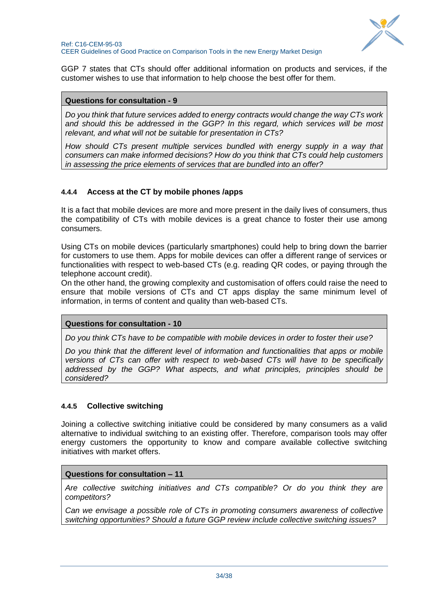

GGP 7 states that CTs should offer additional information on products and services, if the customer wishes to use that information to help choose the best offer for them.

#### **Questions for consultation - 9**

*Do you think that future services added to energy contracts would change the way CTs work and should this be addressed in the GGP? In this regard, which services will be most relevant, and what will not be suitable for presentation in CTs?*

*How should CTs present multiple services bundled with energy supply in a way that consumers can make informed decisions? How do you think that CTs could help customers in assessing the price elements of services that are bundled into an offer?*

### <span id="page-33-0"></span>**4.4.4 Access at the CT by mobile phones /apps**

It is a fact that mobile devices are more and more present in the daily lives of consumers, thus the compatibility of CTs with mobile devices is a great chance to foster their use among consumers.

Using CTs on mobile devices (particularly smartphones) could help to bring down the barrier for customers to use them. Apps for mobile devices can offer a different range of services or functionalities with respect to web-based CTs (e.g. reading QR codes, or paying through the telephone account credit).

On the other hand, the growing complexity and customisation of offers could raise the need to ensure that mobile versions of CTs and CT apps display the same minimum level of information, in terms of content and quality than web-based CTs.

### **Questions for consultation - 10**

*Do you think CTs have to be compatible with mobile devices in order to foster their use?*

*Do you think that the different level of information and functionalities that apps or mobile versions of CTs can offer with respect to web-based CTs will have to be specifically addressed by the GGP? What aspects, and what principles, principles should be considered?*

### <span id="page-33-1"></span>**4.4.5 Collective switching**

Joining a collective switching initiative could be considered by many consumers as a valid alternative to individual switching to an existing offer. Therefore, comparison tools may offer energy customers the opportunity to know and compare available collective switching initiatives with market offers.

### **Questions for consultation – 11**

*Are collective switching initiatives and CTs compatible? Or do you think they are competitors?* 

*Can we envisage a possible role of CTs in promoting consumers awareness of collective switching opportunities? Should a future GGP review include collective switching issues?*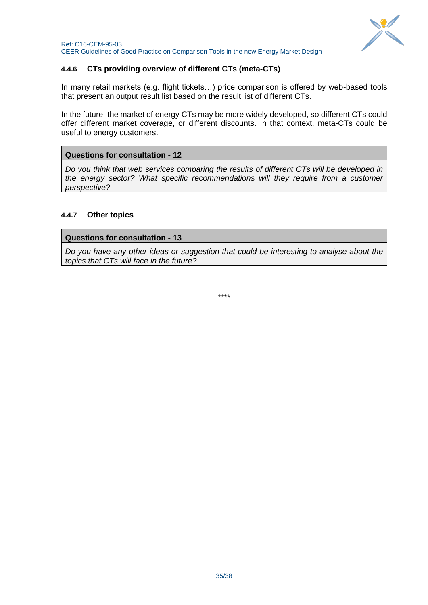

## <span id="page-34-0"></span>**4.4.6 CTs providing overview of different CTs (meta-CTs)**

In many retail markets (e.g. flight tickets…) price comparison is offered by web-based tools that present an output result list based on the result list of different CTs.

In the future, the market of energy CTs may be more widely developed, so different CTs could offer different market coverage, or different discounts. In that context, meta-CTs could be useful to energy customers.

### **Questions for consultation - 12**

*Do you think that web services comparing the results of different CTs will be developed in the energy sector? What specific recommendations will they require from a customer perspective?*

### <span id="page-34-1"></span>**4.4.7 Other topics**

### **Questions for consultation - 13**

*Do you have any other ideas or suggestion that could be interesting to analyse about the topics that CTs will face in the future?*

\*\*\*\*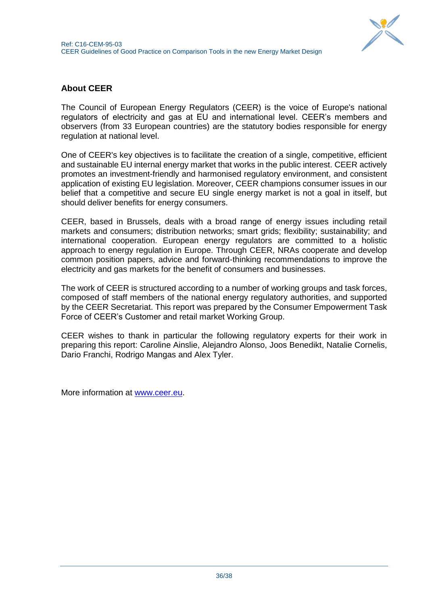

## <span id="page-35-0"></span>**About CEER**

The Council of European Energy Regulators (CEER) is the voice of Europe's national regulators of electricity and gas at EU and international level. CEER's members and observers (from 33 European countries) are the statutory bodies responsible for energy regulation at national level.

One of CEER's key objectives is to facilitate the creation of a single, competitive, efficient and sustainable EU internal energy market that works in the public interest. CEER actively promotes an investment-friendly and harmonised regulatory environment, and consistent application of existing EU legislation. Moreover, CEER champions consumer issues in our belief that a competitive and secure EU single energy market is not a goal in itself, but should deliver benefits for energy consumers.

CEER, based in Brussels, deals with a broad range of energy issues including retail markets and consumers; distribution networks; smart grids; flexibility; sustainability; and international cooperation. European energy regulators are committed to a holistic approach to energy regulation in Europe. Through CEER, NRAs cooperate and develop common position papers, advice and forward-thinking recommendations to improve the electricity and gas markets for the benefit of consumers and businesses.

The work of CEER is structured according to a number of working groups and task forces, composed of staff members of the national energy regulatory authorities, and supported by the CEER Secretariat. This report was prepared by the Consumer Empowerment Task Force of CEER's Customer and retail market Working Group.

CEER wishes to thank in particular the following regulatory experts for their work in preparing this report: Caroline Ainslie, Alejandro Alonso, Joos Benedikt, Natalie Cornelis, Dario Franchi, Rodrigo Mangas and Alex Tyler.

More information at [www.ceer.eu.](http://www.ceer.eu/)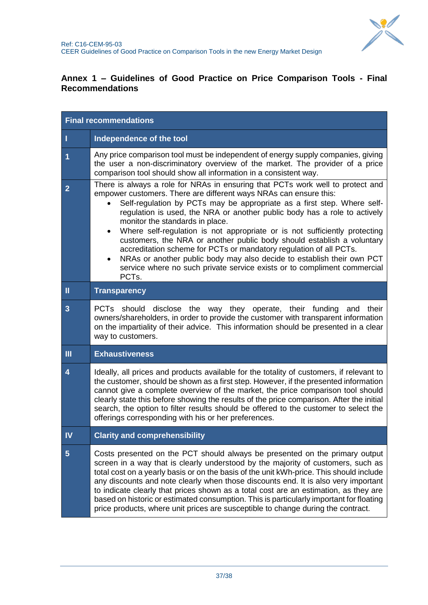

## <span id="page-36-0"></span>**Annex 1 – Guidelines of Good Practice on Price Comparison Tools - Final Recommendations**

| <b>Final recommendations</b> |                                                                                                                                                                                                                                                                                                                                                                                                                                                                                                                                                                                                                                                                                                                                                          |  |  |  |
|------------------------------|----------------------------------------------------------------------------------------------------------------------------------------------------------------------------------------------------------------------------------------------------------------------------------------------------------------------------------------------------------------------------------------------------------------------------------------------------------------------------------------------------------------------------------------------------------------------------------------------------------------------------------------------------------------------------------------------------------------------------------------------------------|--|--|--|
| J                            | Independence of the tool                                                                                                                                                                                                                                                                                                                                                                                                                                                                                                                                                                                                                                                                                                                                 |  |  |  |
| 1                            | Any price comparison tool must be independent of energy supply companies, giving<br>the user a non-discriminatory overview of the market. The provider of a price<br>comparison tool should show all information in a consistent way.                                                                                                                                                                                                                                                                                                                                                                                                                                                                                                                    |  |  |  |
| $\overline{2}$               | There is always a role for NRAs in ensuring that PCTs work well to protect and<br>empower customers. There are different ways NRAs can ensure this:<br>Self-regulation by PCTs may be appropriate as a first step. Where self-<br>regulation is used, the NRA or another public body has a role to actively<br>monitor the standards in place.<br>Where self-regulation is not appropriate or is not sufficiently protecting<br>customers, the NRA or another public body should establish a voluntary<br>accreditation scheme for PCTs or mandatory regulation of all PCTs.<br>NRAs or another public body may also decide to establish their own PCT<br>service where no such private service exists or to compliment commercial<br>PCT <sub>s</sub> . |  |  |  |
| $\mathbf{I}$                 | <b>Transparency</b>                                                                                                                                                                                                                                                                                                                                                                                                                                                                                                                                                                                                                                                                                                                                      |  |  |  |
| 3                            | PCTs should disclose the way they operate, their funding and their<br>owners/shareholders, in order to provide the customer with transparent information<br>on the impartiality of their advice. This information should be presented in a clear<br>way to customers.                                                                                                                                                                                                                                                                                                                                                                                                                                                                                    |  |  |  |
| $\mathbf{m}$                 | <b>Exhaustiveness</b>                                                                                                                                                                                                                                                                                                                                                                                                                                                                                                                                                                                                                                                                                                                                    |  |  |  |
| $\overline{\mathbf{4}}$      | Ideally, all prices and products available for the totality of customers, if relevant to<br>the customer, should be shown as a first step. However, if the presented information<br>cannot give a complete overview of the market, the price comparison tool should<br>clearly state this before showing the results of the price comparison. After the initial<br>search, the option to filter results should be offered to the customer to select the<br>offerings corresponding with his or her preferences.                                                                                                                                                                                                                                          |  |  |  |
| IV                           | <b>Clarity and comprehensibility</b>                                                                                                                                                                                                                                                                                                                                                                                                                                                                                                                                                                                                                                                                                                                     |  |  |  |
| $\overline{5}$               | Costs presented on the PCT should always be presented on the primary output<br>screen in a way that is clearly understood by the majority of customers, such as<br>total cost on a yearly basis or on the basis of the unit kWh-price. This should include<br>any discounts and note clearly when those discounts end. It is also very important<br>to indicate clearly that prices shown as a total cost are an estimation, as they are<br>based on historic or estimated consumption. This is particularly important for floating<br>price products, where unit prices are susceptible to change during the contract.                                                                                                                                  |  |  |  |